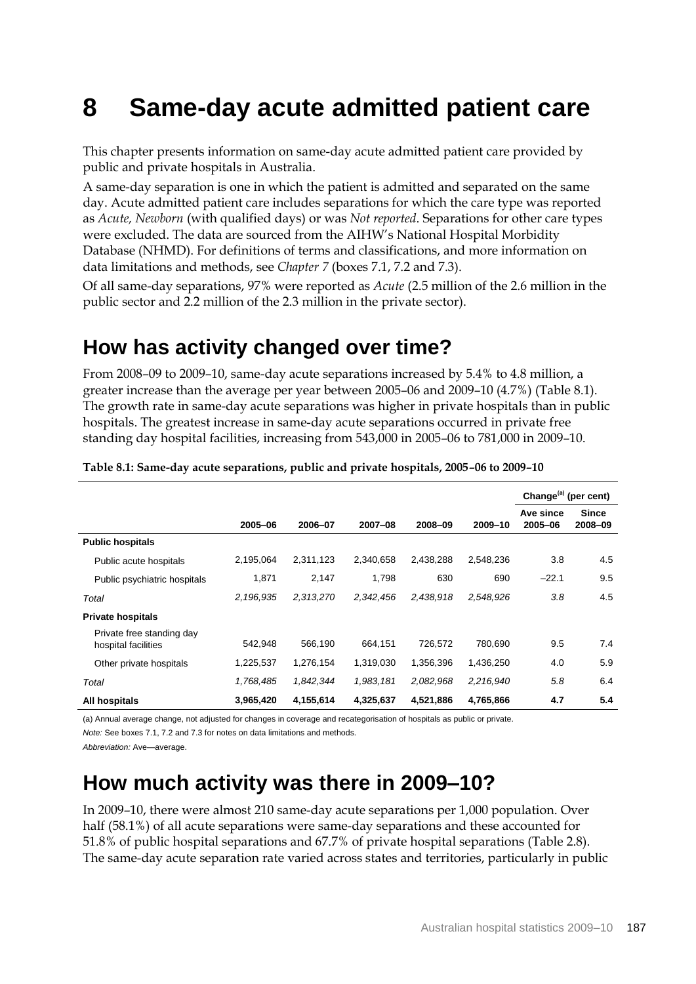# **8 Same-day acute admitted patient care**

This chapter presents information on same-day acute admitted patient care provided by public and private hospitals in Australia.

A same-day separation is one in which the patient is admitted and separated on the same day. Acute admitted patient care includes separations for which the care type was reported as *Acute, Newborn* (with qualified days) or was *Not reported*. Separations for other care types were excluded. The data are sourced from the AIHW's National Hospital Morbidity Database (NHMD). For definitions of terms and classifications, and more information on data limitations and methods, see *Chapter 7* (boxes 7.1, 7.2 and 7.3).

Of all same-day separations, 97% were reported as *Acute* (2.5 million of the 2.6 million in the public sector and 2.2 million of the 2.3 million in the private sector).

## **How has activity changed over time?**

From 2008–09 to 2009–10, same-day acute separations increased by 5.4% to 4.8 million, a greater increase than the average per year between 2005–06 and 2009–10 (4.7%) (Table 8.1). The growth rate in same-day acute separations was higher in private hospitals than in public hospitals. The greatest increase in same-day acute separations occurred in private free standing day hospital facilities, increasing from 543,000 in 2005–06 to 781,000 in 2009–10.

|                                                  |           |           |           |           |           | Change <sup>(a)</sup> (per cent) |                         |
|--------------------------------------------------|-----------|-----------|-----------|-----------|-----------|----------------------------------|-------------------------|
|                                                  | 2005-06   | 2006-07   | 2007-08   | 2008-09   | 2009-10   | Ave since<br>2005-06             | <b>Since</b><br>2008-09 |
| <b>Public hospitals</b>                          |           |           |           |           |           |                                  |                         |
| Public acute hospitals                           | 2,195,064 | 2,311,123 | 2,340,658 | 2,438,288 | 2,548,236 | 3.8                              | 4.5                     |
| Public psychiatric hospitals                     | 1,871     | 2,147     | 1,798     | 630       | 690       | $-22.1$                          | 9.5                     |
| Total                                            | 2,196,935 | 2,313,270 | 2,342,456 | 2,438,918 | 2,548,926 | 3.8                              | 4.5                     |
| <b>Private hospitals</b>                         |           |           |           |           |           |                                  |                         |
| Private free standing day<br>hospital facilities | 542,948   | 566,190   | 664.151   | 726.572   | 780,690   | 9.5                              | 7.4                     |
| Other private hospitals                          | 1,225,537 | 1,276,154 | 1,319,030 | 1,356,396 | 1,436,250 | 4.0                              | 5.9                     |
| Total                                            | 1,768,485 | 1,842,344 | 1,983,181 | 2,082,968 | 2,216,940 | 5.8                              | 6.4                     |
| All hospitals                                    | 3,965,420 | 4,155,614 | 4,325,637 | 4,521,886 | 4,765,866 | 4.7                              | 5.4                     |

#### **Table 8.1: Same-day acute separations, public and private hospitals, 2005–06 to 2009–10**

(a) Annual average change, not adjusted for changes in coverage and recategorisation of hospitals as public or private. *Note:* See boxes 7.1, 7.2 and 7.3 for notes on data limitations and methods.

*Abbreviation:* Ave—average.

## **How much activity was there in 2009–10?**

In 2009–10, there were almost 210 same-day acute separations per 1,000 population. Over half (58.1%) of all acute separations were same-day separations and these accounted for 51.8% of public hospital separations and 67.7% of private hospital separations (Table 2.8). The same-day acute separation rate varied across states and territories, particularly in public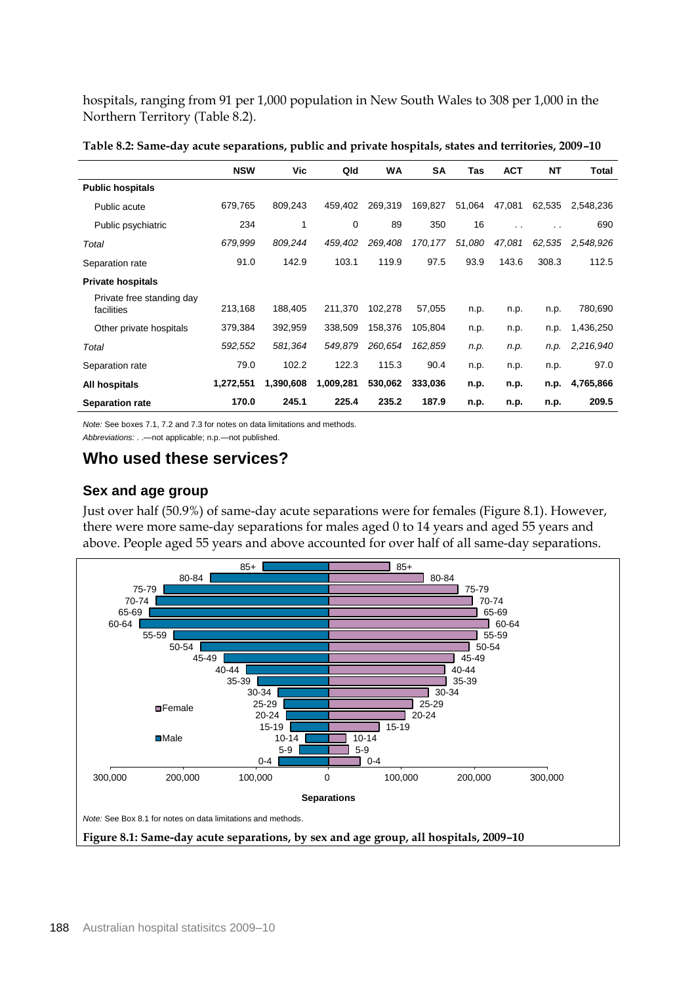hospitals, ranging from 91 per 1,000 population in New South Wales to 308 per 1,000 in the Northern Territory (Table 8.2).

|                                         | <b>NSW</b> | Vic       | Qld       | <b>WA</b> | <b>SA</b> | Tas    | <b>ACT</b> | <b>NT</b> | Total     |
|-----------------------------------------|------------|-----------|-----------|-----------|-----------|--------|------------|-----------|-----------|
| <b>Public hospitals</b>                 |            |           |           |           |           |        |            |           |           |
| Public acute                            | 679,765    | 809.243   | 459,402   | 269,319   | 169,827   | 51,064 | 47,081     | 62,535    | 2,548,236 |
| Public psychiatric                      | 234        | 1         | 0         | 89        | 350       | 16     | $\cdot$ .  | $\cdot$ . | 690       |
| Total                                   | 679,999    | 809,244   | 459,402   | 269,408   | 170, 177  | 51,080 | 47,081     | 62,535    | 2,548,926 |
| Separation rate                         | 91.0       | 142.9     | 103.1     | 119.9     | 97.5      | 93.9   | 143.6      | 308.3     | 112.5     |
| <b>Private hospitals</b>                |            |           |           |           |           |        |            |           |           |
| Private free standing day<br>facilities | 213,168    | 188,405   | 211,370   | 102,278   | 57,055    | n.p.   | n.p.       | n.p.      | 780,690   |
| Other private hospitals                 | 379,384    | 392,959   | 338,509   | 158,376   | 105,804   | n.p.   | n.p.       | n.p.      | 1,436,250 |
| Total                                   | 592,552    | 581,364   | 549,879   | 260,654   | 162,859   | n.p.   | n.p.       | n.p.      | 2,216,940 |
| Separation rate                         | 79.0       | 102.2     | 122.3     | 115.3     | 90.4      | n.p.   | n.p.       | n.p.      | 97.0      |
| All hospitals                           | 1,272,551  | 1,390,608 | 1,009,281 | 530,062   | 333,036   | n.p.   | n.p.       | n.p.      | 4,765,866 |
| <b>Separation rate</b>                  | 170.0      | 245.1     | 225.4     | 235.2     | 187.9     | n.p.   | n.p.       | n.p.      | 209.5     |

**Table 8.2: Same-day acute separations, public and private hospitals, states and territories, 2009–10** 

*Note:* See boxes 7.1, 7.2 and 7.3 for notes on data limitations and methods.

*Abbreviations:* . .—not applicable; n.p.—not published.

### **Who used these services?**

### **Sex and age group**

Just over half (50.9%) of same-day acute separations were for females (Figure 8.1). However, there were more same-day separations for males aged 0 to 14 years and aged 55 years and above. People aged 55 years and above accounted for over half of all same-day separations.

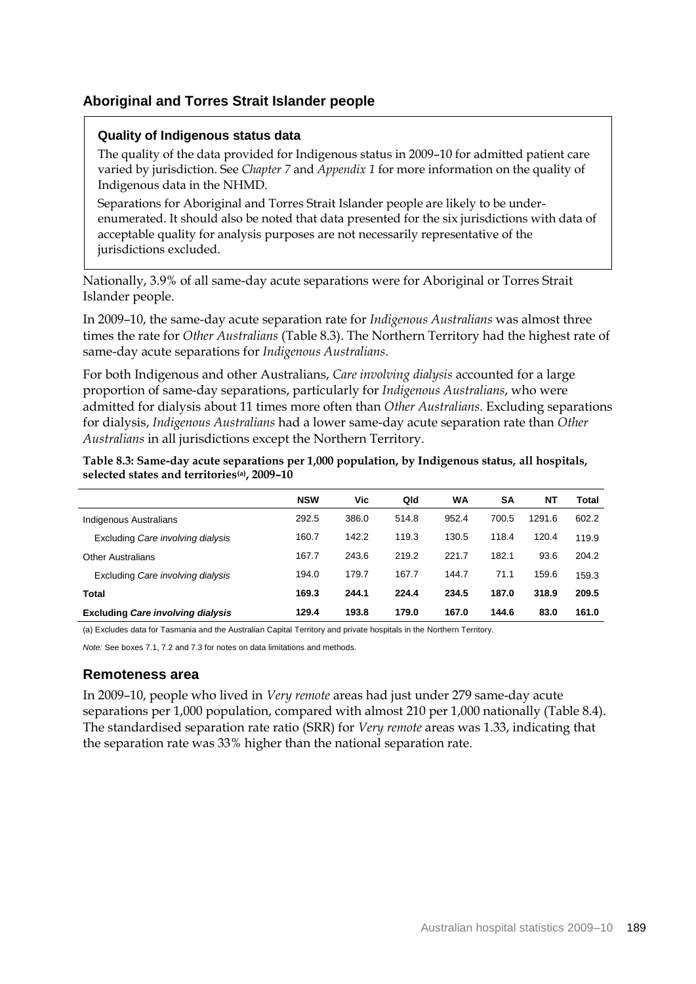### **Aboriginal and Torres Strait Islander people**

### **Quality of Indigenous status data**

The quality of the data provided for Indigenous status in 2009–10 for admitted patient care varied by jurisdiction. See *Chapter 7* and *Appendix 1* for more information on the quality of Indigenous data in the NHMD.

Separations for Aboriginal and Torres Strait Islander people are likely to be underenumerated. It should also be noted that data presented for the six jurisdictions with data of acceptable quality for analysis purposes are not necessarily representative of the jurisdictions excluded.

Nationally, 3.9% of all same-day acute separations were for Aboriginal or Torres Strait Islander people.

In 2009–10, the same-day acute separation rate for *Indigenous Australians* was almost three times the rate for *Other Australians* (Table 8.3). The Northern Territory had the highest rate of same-day acute separations for *Indigenous Australians*.

For both Indigenous and other Australians, *Care involving dialysis* accounted for a large proportion of same-day separations, particularly for *Indigenous Australians*, who were admitted for dialysis about 11 times more often than *Other Australians*. Excluding separations for dialysis, *Indigenous Australians* had a lower same-day acute separation rate than *Other Australians* in all jurisdictions except the Northern Territory.

| Table 8.3: Same-day acute separations per 1,000 population, by Indigenous status, all hospitals, |  |  |
|--------------------------------------------------------------------------------------------------|--|--|
| selected states and territories <sup>(a)</sup> , 2009–10                                         |  |  |

|                                          | <b>NSW</b> | Vic   | Qld   | WA    | SΑ    | NΤ     | Total |
|------------------------------------------|------------|-------|-------|-------|-------|--------|-------|
| Indigenous Australians                   | 292.5      | 386.0 | 514.8 | 952.4 | 700.5 | 1291.6 | 602.2 |
| Excluding Care involving dialysis        | 160.7      | 142.2 | 119.3 | 130.5 | 118.4 | 120.4  | 119.9 |
| <b>Other Australians</b>                 | 167.7      | 243.6 | 219.2 | 221.7 | 182.1 | 93.6   | 204.2 |
| Excluding Care involving dialysis        | 194.0      | 179.7 | 167.7 | 144.7 | 71.1  | 159.6  | 159.3 |
| Total                                    | 169.3      | 244.1 | 224.4 | 234.5 | 187.0 | 318.9  | 209.5 |
| <b>Excluding Care involving dialysis</b> | 129.4      | 193.8 | 179.0 | 167.0 | 144.6 | 83.0   | 161.0 |

(a) Excludes data for Tasmania and the Australian Capital Territory and private hospitals in the Northern Territory.

*Note:* See boxes 7.1, 7.2 and 7.3 for notes on data limitations and methods.

### **Remoteness area**

In 2009–10, people who lived in *Very remote* areas had just under 279 same-day acute separations per 1,000 population, compared with almost 210 per 1,000 nationally (Table 8.4). The standardised separation rate ratio (SRR) for *Very remote* areas was 1.33, indicating that the separation rate was 33% higher than the national separation rate.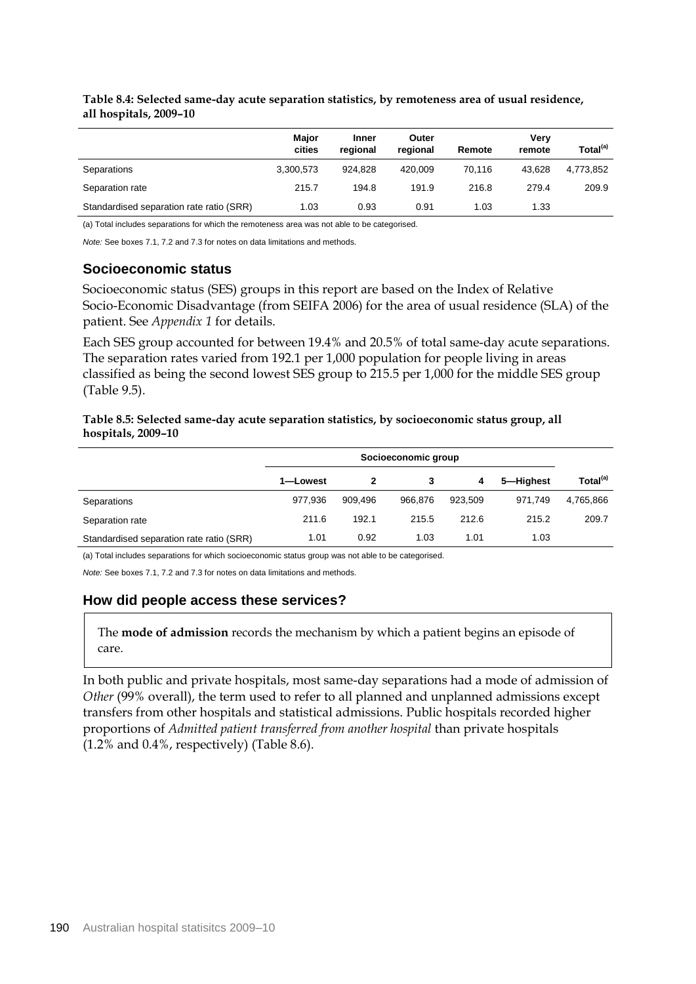|                                          | Major<br>cities | Inner<br>regional | Outer<br>regional | Remote | Verv<br>remote | Total <sup>(a)</sup> |
|------------------------------------------|-----------------|-------------------|-------------------|--------|----------------|----------------------|
| Separations                              | 3,300,573       | 924.828           | 420.009           | 70.116 | 43.628         | 4,773,852            |
| Separation rate                          | 215.7           | 194.8             | 191.9             | 216.8  | 279.4          | 209.9                |
| Standardised separation rate ratio (SRR) | 1.03            | 0.93              | 0.91              | 1.03   | 1.33           |                      |

**Table 8.4: Selected same-day acute separation statistics, by remoteness area of usual residence, all hospitals, 2009–10** 

(a) Total includes separations for which the remoteness area was not able to be categorised.

*Note:* See boxes 7.1, 7.2 and 7.3 for notes on data limitations and methods.

### **Socioeconomic status**

Socioeconomic status (SES) groups in this report are based on the Index of Relative Socio-Economic Disadvantage (from SEIFA 2006) for the area of usual residence (SLA) of the patient. See *Appendix 1* for details.

Each SES group accounted for between 19.4% and 20.5% of total same-day acute separations. The separation rates varied from 192.1 per 1,000 population for people living in areas classified as being the second lowest SES group to 215.5 per 1,000 for the middle SES group (Table 9.5).

#### **Table 8.5: Selected same-day acute separation statistics, by socioeconomic status group, all hospitals, 2009–10**

|                                          | Socioeconomic group |         |         |         |           |                      |
|------------------------------------------|---------------------|---------|---------|---------|-----------|----------------------|
|                                          | 1-Lowest            | 2       |         | 4       | 5-Highest | Total <sup>(a)</sup> |
| Separations                              | 977,936             | 909.496 | 966.876 | 923.509 | 971.749   | 4,765,866            |
| Separation rate                          | 211.6               | 192.1   | 215.5   | 212.6   | 215.2     | 209.7                |
| Standardised separation rate ratio (SRR) | 1.01                | 0.92    | 1.03    | 1.01    | 1.03      |                      |

(a) Total includes separations for which socioeconomic status group was not able to be categorised.

*Note:* See boxes 7.1, 7.2 and 7.3 for notes on data limitations and methods.

#### **How did people access these services?**

The **mode of admission** records the mechanism by which a patient begins an episode of care.

In both public and private hospitals, most same-day separations had a mode of admission of *Other* (99% overall), the term used to refer to all planned and unplanned admissions except transfers from other hospitals and statistical admissions. Public hospitals recorded higher proportions of *Admitted patient transferred from another hospital* than private hospitals  $(1.2\%$  and  $0.4\%$ , respectively) (Table 8.6).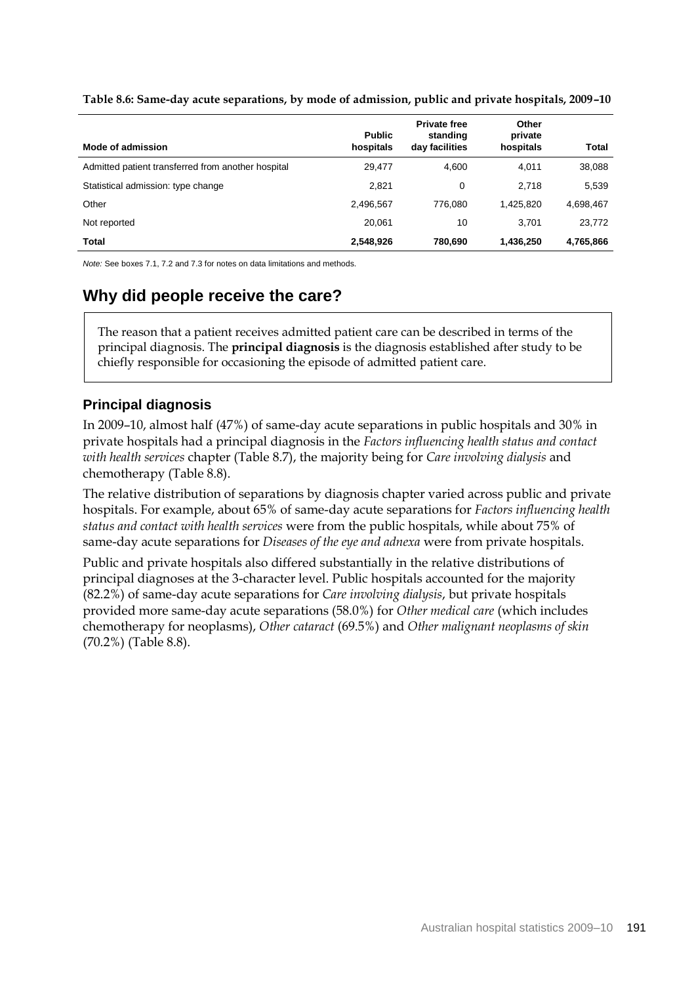| Mode of admission                                  | <b>Public</b><br>hospitals | <b>Private free</b><br>standing<br>day facilities | Other<br>private<br>hospitals | Total     |
|----------------------------------------------------|----------------------------|---------------------------------------------------|-------------------------------|-----------|
| Admitted patient transferred from another hospital | 29.477                     | 4.600                                             | 4.011                         | 38,088    |
| Statistical admission: type change                 | 2,821                      | 0                                                 | 2.718                         | 5,539     |
| Other                                              | 2,496,567                  | 776.080                                           | 1.425.820                     | 4,698,467 |
| Not reported                                       | 20.061                     | 10                                                | 3.701                         | 23,772    |
| Total                                              | 2,548,926                  | 780.690                                           | 1,436,250                     | 4,765,866 |

**Table 8.6: Same-day acute separations, by mode of admission, public and private hospitals, 2009–10**

*Note:* See boxes 7.1, 7.2 and 7.3 for notes on data limitations and methods.

### **Why did people receive the care?**

The reason that a patient receives admitted patient care can be described in terms of the principal diagnosis. The **principal diagnosis** is the diagnosis established after study to be chiefly responsible for occasioning the episode of admitted patient care.

### **Principal diagnosis**

In 2009–10, almost half (47%) of same-day acute separations in public hospitals and 30% in private hospitals had a principal diagnosis in the *Factors influencing health status and contact with health services* chapter (Table 8.7), the majority being for *Care involving dialysis* and chemotherapy (Table 8.8).

The relative distribution of separations by diagnosis chapter varied across public and private hospitals. For example, about 65% of same-day acute separations for *Factors influencing health status and contact with health services* were from the public hospitals, while about 75% of same-day acute separations for *Diseases of the eye and adnexa* were from private hospitals.

Public and private hospitals also differed substantially in the relative distributions of principal diagnoses at the 3-character level. Public hospitals accounted for the majority (82.2%) of same-day acute separations for *Care involving dialysis*, but private hospitals provided more same-day acute separations (58.0%) for *Other medical care* (which includes chemotherapy for neoplasms), *Other cataract* (69.5%) and *Other malignant neoplasms of skin* (70.2%) (Table 8.8).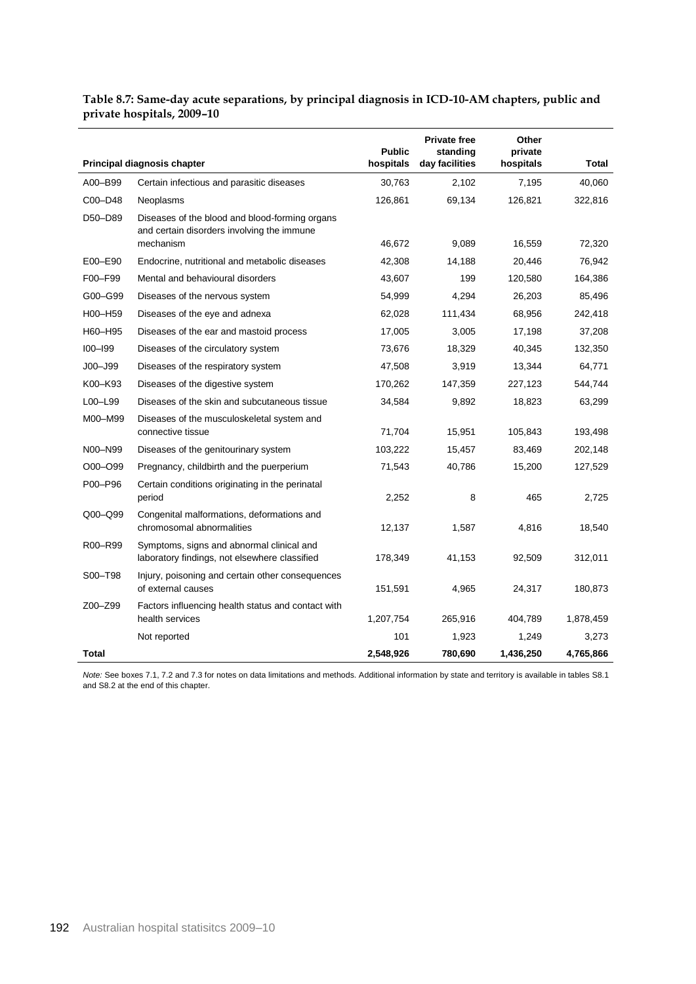| Table 8.7: Same-day acute separations, by principal diagnosis in ICD-10-AM chapters, public and |
|-------------------------------------------------------------------------------------------------|
| private hospitals, 2009-10                                                                      |

|             |                                                                                                           | <b>Public</b> | <b>Private free</b><br>standing | Other<br>private |              |
|-------------|-----------------------------------------------------------------------------------------------------------|---------------|---------------------------------|------------------|--------------|
|             | Principal diagnosis chapter                                                                               | hospitals     | day facilities                  | hospitals        | <b>Total</b> |
| A00-B99     | Certain infectious and parasitic diseases                                                                 | 30,763        | 2,102                           | 7,195            | 40,060       |
| C00-D48     | Neoplasms                                                                                                 | 126,861       | 69,134                          | 126,821          | 322,816      |
| D50-D89     | Diseases of the blood and blood-forming organs<br>and certain disorders involving the immune<br>mechanism | 46,672        | 9,089                           | 16,559           | 72,320       |
| E00-E90     | Endocrine, nutritional and metabolic diseases                                                             | 42,308        | 14,188                          | 20,446           | 76,942       |
| F00-F99     | Mental and behavioural disorders                                                                          | 43,607        | 199                             | 120,580          | 164,386      |
| G00-G99     | Diseases of the nervous system                                                                            | 54,999        | 4,294                           | 26,203           | 85,496       |
| H00-H59     | Diseases of the eye and adnexa                                                                            | 62,028        | 111,434                         | 68,956           | 242,418      |
| H60-H95     | Diseases of the ear and mastoid process                                                                   | 17,005        | 3,005                           | 17,198           | 37,208       |
| $IOO-I99$   | Diseases of the circulatory system                                                                        | 73,676        | 18,329                          | 40,345           | 132,350      |
| $JOO - J99$ | Diseases of the respiratory system                                                                        | 47,508        | 3,919                           | 13,344           | 64,771       |
| K00-K93     |                                                                                                           |               | 147,359                         | 227,123          |              |
|             | Diseases of the digestive system                                                                          | 170,262       |                                 |                  | 544,744      |
| L00-L99     | Diseases of the skin and subcutaneous tissue                                                              | 34,584        | 9,892                           | 18,823           | 63,299       |
| M00-M99     | Diseases of the musculoskeletal system and<br>connective tissue                                           | 71,704        | 15,951                          | 105,843          | 193,498      |
| N00-N99     | Diseases of the genitourinary system                                                                      | 103,222       | 15,457                          | 83,469           | 202,148      |
| O00-O99     | Pregnancy, childbirth and the puerperium                                                                  | 71,543        | 40,786                          | 15,200           | 127,529      |
| P00-P96     | Certain conditions originating in the perinatal<br>period                                                 | 2,252         | 8                               | 465              | 2,725        |
| Q00-Q99     | Congenital malformations, deformations and<br>chromosomal abnormalities                                   | 12,137        | 1,587                           | 4,816            | 18,540       |
| R00-R99     | Symptoms, signs and abnormal clinical and<br>laboratory findings, not elsewhere classified                | 178,349       | 41,153                          | 92,509           | 312,011      |
| S00-T98     | Injury, poisoning and certain other consequences<br>of external causes                                    | 151,591       | 4,965                           | 24,317           | 180,873      |
| Z00-Z99     | Factors influencing health status and contact with<br>health services                                     | 1,207,754     | 265,916                         | 404,789          | 1,878,459    |
|             | Not reported                                                                                              | 101           | 1,923                           | 1,249            | 3,273        |
| Total       |                                                                                                           | 2,548,926     | 780,690                         | 1,436,250        | 4,765,866    |

*Note:* See boxes 7.1, 7.2 and 7.3 for notes on data limitations and methods. Additional information by state and territory is available in tables S8.1 and S8.2 at the end of this chapter.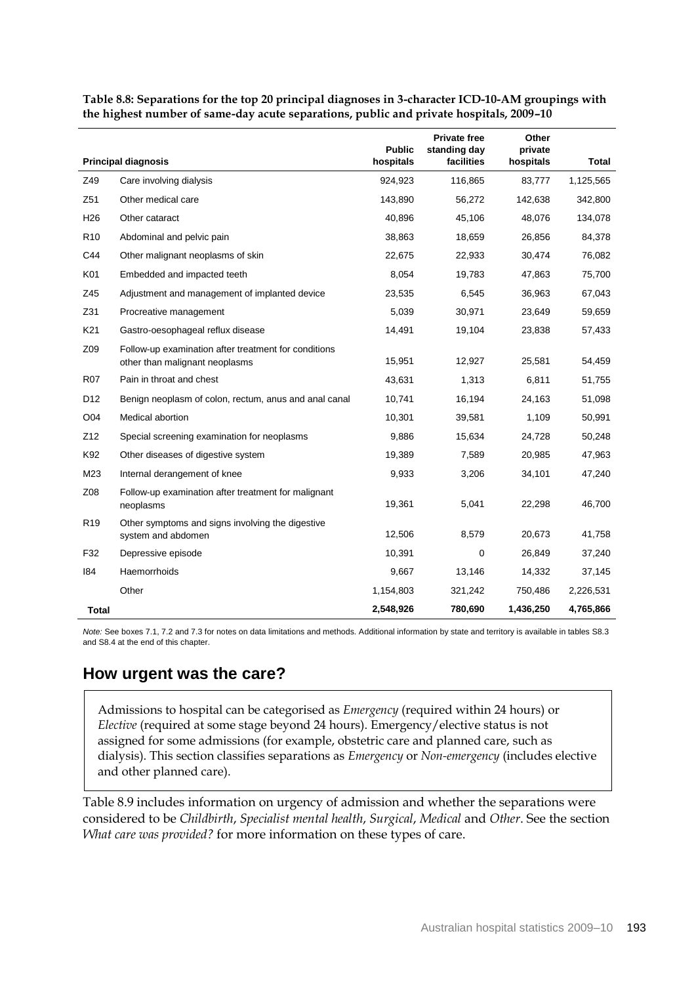|                 |                                                                                        | <b>Public</b> | <b>Private free</b><br>standing day | Other<br>private |              |
|-----------------|----------------------------------------------------------------------------------------|---------------|-------------------------------------|------------------|--------------|
|                 | <b>Principal diagnosis</b>                                                             | hospitals     | facilities                          | hospitals        | <b>Total</b> |
| Z49             | Care involving dialysis                                                                | 924,923       | 116,865                             | 83,777           | 1,125,565    |
| Z51             | Other medical care                                                                     | 143,890       | 56,272                              | 142,638          | 342,800      |
| H <sub>26</sub> | Other cataract                                                                         | 40,896        | 45,106                              | 48,076           | 134,078      |
| R <sub>10</sub> | Abdominal and pelvic pain                                                              | 38,863        | 18,659                              | 26,856           | 84,378       |
| C44             | Other malignant neoplasms of skin                                                      | 22,675        | 22,933                              | 30,474           | 76,082       |
| K01             | Embedded and impacted teeth                                                            | 8,054         | 19,783                              | 47,863           | 75,700       |
| Z45             | Adjustment and management of implanted device                                          | 23,535        | 6,545                               | 36,963           | 67,043       |
| Z31             | Procreative management                                                                 | 5,039         | 30,971                              | 23,649           | 59,659       |
| K21             | Gastro-oesophageal reflux disease                                                      | 14,491        | 19,104                              | 23,838           | 57,433       |
| Z09             | Follow-up examination after treatment for conditions<br>other than malignant neoplasms | 15,951        | 12,927                              | 25,581           | 54,459       |
| <b>R07</b>      | Pain in throat and chest                                                               | 43,631        | 1,313                               | 6,811            | 51,755       |
| D <sub>12</sub> | Benign neoplasm of colon, rectum, anus and anal canal                                  | 10,741        | 16,194                              | 24,163           | 51,098       |
| O04             | Medical abortion                                                                       | 10,301        | 39,581                              | 1,109            | 50,991       |
| Z12             | Special screening examination for neoplasms                                            | 9,886         | 15,634                              | 24,728           | 50,248       |
| K92             | Other diseases of digestive system                                                     | 19,389        | 7,589                               | 20,985           | 47,963       |
| M23             | Internal derangement of knee                                                           | 9,933         | 3,206                               | 34,101           | 47,240       |
| Z08             | Follow-up examination after treatment for malignant<br>neoplasms                       | 19,361        | 5,041                               | 22,298           | 46,700       |
| R <sub>19</sub> | Other symptoms and signs involving the digestive<br>system and abdomen                 | 12,506        | 8,579                               | 20,673           | 41,758       |
| F32             | Depressive episode                                                                     | 10,391        | $\mathbf 0$                         | 26,849           | 37,240       |
| 184             | Haemorrhoids                                                                           | 9,667         | 13,146                              | 14,332           | 37,145       |
|                 | Other                                                                                  | 1,154,803     | 321,242                             | 750,486          | 2,226,531    |
| Total           |                                                                                        | 2,548,926     | 780,690                             | 1,436,250        | 4,765,866    |

**Table 8.8: Separations for the top 20 principal diagnoses in 3-character ICD-10-AM groupings with the highest number of same-day acute separations, public and private hospitals, 2009–10** 

*Note:* See boxes 7.1, 7.2 and 7.3 for notes on data limitations and methods. Additional information by state and territory is available in tables S8.3 and S8.4 at the end of this chapter.

### **How urgent was the care?**

Admissions to hospital can be categorised as *Emergency* (required within 24 hours) or *Elective* (required at some stage beyond 24 hours). Emergency/elective status is not assigned for some admissions (for example, obstetric care and planned care, such as dialysis). This section classifies separations as *Emergency* or *Non-emergency* (includes elective and other planned care).

Table 8.9 includes information on urgency of admission and whether the separations were considered to be *Childbirth*, *Specialist mental health*, *Surgical*, *Medical* and *Other*. See the section *What care was provided?* for more information on these types of care.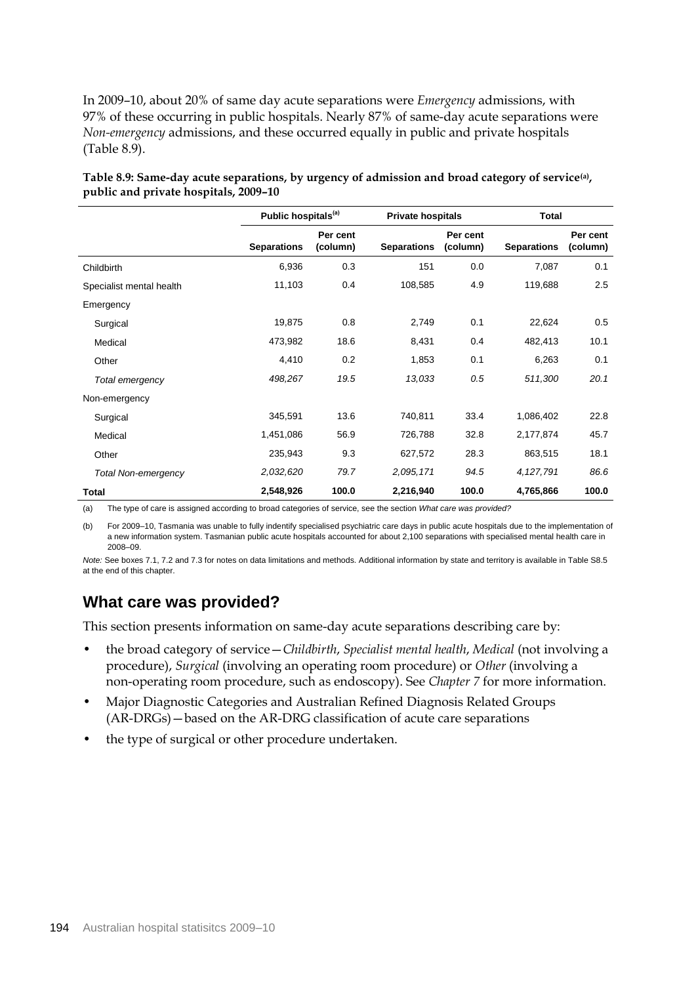In 2009–10, about 20% of same day acute separations were *Emergency* admissions, with 97% of these occurring in public hospitals. Nearly 87% of same-day acute separations were *Non-emergency* admissions, and these occurred equally in public and private hospitals (Table 8.9).

|                          | Public hospitals <sup>(a)</sup> |                      | <b>Private hospitals</b> |                      | <b>Total</b>       |                      |  |
|--------------------------|---------------------------------|----------------------|--------------------------|----------------------|--------------------|----------------------|--|
|                          | <b>Separations</b>              | Per cent<br>(column) | <b>Separations</b>       | Per cent<br>(column) | <b>Separations</b> | Per cent<br>(column) |  |
| Childbirth               | 6,936                           | 0.3                  | 151                      | 0.0                  | 7,087              | 0.1                  |  |
| Specialist mental health | 11,103                          | 0.4                  | 108,585                  | 4.9                  | 119,688            | 2.5                  |  |
| Emergency                |                                 |                      |                          |                      |                    |                      |  |
| Surgical                 | 19,875                          | 0.8                  | 2,749                    | 0.1                  | 22,624             | 0.5                  |  |
| Medical                  | 473,982                         | 18.6                 | 8,431                    | 0.4                  | 482,413            | 10.1                 |  |
| Other                    | 4,410                           | 0.2                  | 1,853                    | 0.1                  | 6,263              | 0.1                  |  |
| Total emergency          | 498,267                         | 19.5                 | 13,033                   | 0.5                  | 511,300            | 20.1                 |  |
| Non-emergency            |                                 |                      |                          |                      |                    |                      |  |
| Surgical                 | 345,591                         | 13.6                 | 740,811                  | 33.4                 | 1,086,402          | 22.8                 |  |
| Medical                  | 1,451,086                       | 56.9                 | 726,788                  | 32.8                 | 2,177,874          | 45.7                 |  |
| Other                    | 235,943                         | 9.3                  | 627,572                  | 28.3                 | 863,515            | 18.1                 |  |
| Total Non-emergency      | 2,032,620                       | 79.7                 | 2,095,171                | 94.5                 | 4,127,791          | 86.6                 |  |
| Total                    | 2,548,926                       | 100.0                | 2,216,940                | 100.0                | 4,765,866          | 100.0                |  |

**Table 8.9: Same-day acute separations, by urgency of admission and broad category of service(a) , public and private hospitals, 2009–10**

(a) The type of care is assigned according to broad categories of service, see the section *What care was provided?*

(b) For 2009–10, Tasmania was unable to fully indentify specialised psychiatric care days in public acute hospitals due to the implementation of a new information system. Tasmanian public acute hospitals accounted for about 2,100 separations with specialised mental health care in 2008–09.

*Note:* See boxes 7.1, 7.2 and 7.3 for notes on data limitations and methods. Additional information by state and territory is available in Table S8.5 at the end of this chapter.

### **What care was provided?**

This section presents information on same-day acute separations describing care by:

- the broad category of service—*Childbirth*, *Specialist mental health*, *Medical* (not involving a procedure), *Surgical* (involving an operating room procedure) or *Other* (involving a non-operating room procedure, such as endoscopy). See *Chapter 7* for more information.
- Major Diagnostic Categories and Australian Refined Diagnosis Related Groups (AR-DRGs)—based on the AR-DRG classification of acute care separations
- the type of surgical or other procedure undertaken.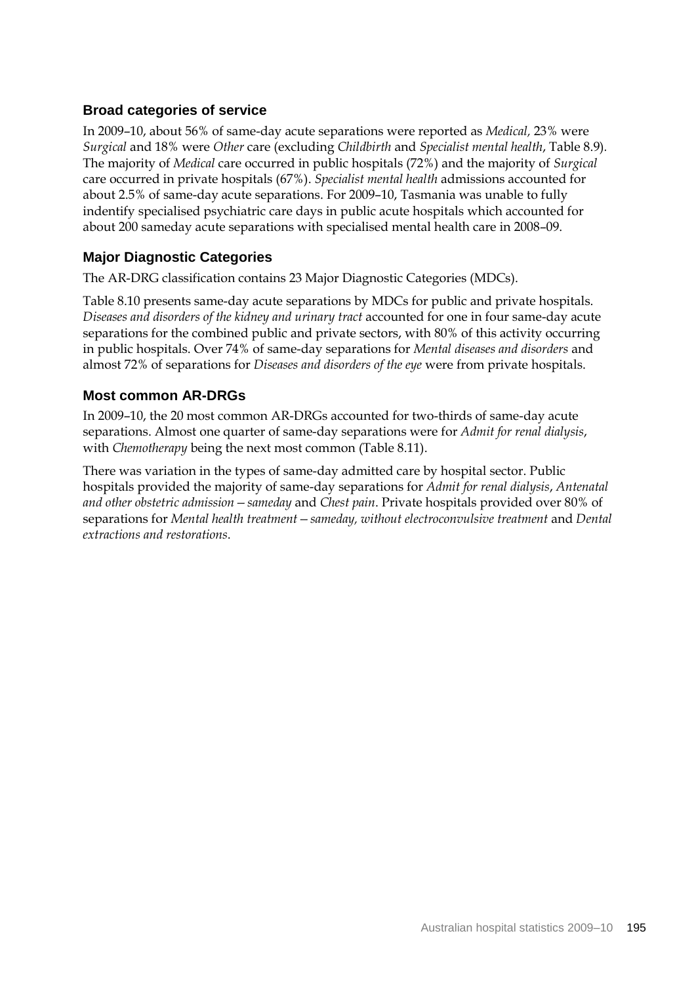### **Broad categories of service**

In 2009–10, about 56% of same-day acute separations were reported as *Medical,* 23% were *Surgical* and 18% were *Other* care (excluding *Childbirth* and *Specialist mental health*, Table 8.9)*.*  The majority of *Medical* care occurred in public hospitals (72%) and the majority of *Surgical*  care occurred in private hospitals (67%). *Specialist mental health* admissions accounted for about 2.5% of same-day acute separations. For 2009–10, Tasmania was unable to fully indentify specialised psychiatric care days in public acute hospitals which accounted for about 200 sameday acute separations with specialised mental health care in 2008–09.

### **Major Diagnostic Categories**

The AR-DRG classification contains 23 Major Diagnostic Categories (MDCs).

Table 8.10 presents same-day acute separations by MDCs for public and private hospitals. *Diseases and disorders of the kidney and urinary tract* accounted for one in four same-day acute separations for the combined public and private sectors, with 80% of this activity occurring in public hospitals. Over 74% of same-day separations for *Mental diseases and disorders* and almost 72% of separations for *Diseases and disorders of the eye* were from private hospitals.

### **Most common AR-DRGs**

In 2009–10, the 20 most common AR-DRGs accounted for two-thirds of same-day acute separations. Almost one quarter of same-day separations were for *Admit for renal dialysis*, with *Chemotherapy* being the next most common (Table 8.11).

There was variation in the types of same-day admitted care by hospital sector. Public hospitals provided the majority of same-day separations for *Admit for renal dialysis*, *Antenatal and other obstetric admission—sameday* and *Chest pain*. Private hospitals provided over 80% of separations for *Mental health treatment—sameday, without electroconvulsive treatment* and *Dental extractions and restorations*.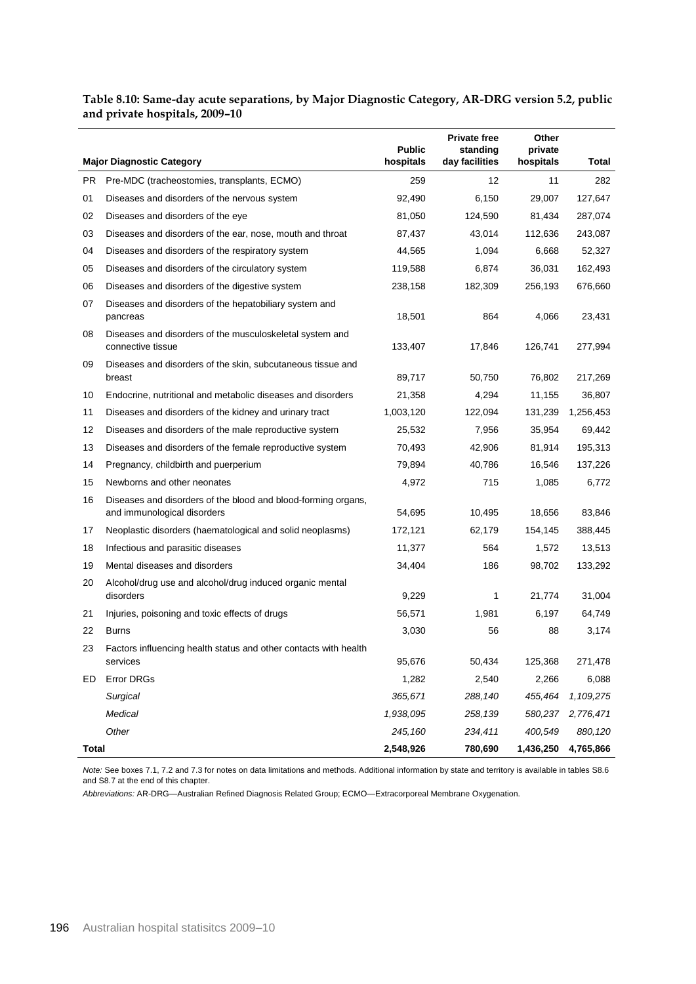| Table 8.10: Same-day acute separations, by Major Diagnostic Category, AR-DRG version 5.2, public |  |
|--------------------------------------------------------------------------------------------------|--|
| and private hospitals, 2009–10                                                                   |  |

|       |                                                                                              | <b>Public</b> | <b>Private free</b><br>standing | Other<br>private |              |
|-------|----------------------------------------------------------------------------------------------|---------------|---------------------------------|------------------|--------------|
|       | <b>Major Diagnostic Category</b>                                                             | hospitals     | day facilities                  | hospitals        | <b>Total</b> |
| PR.   | Pre-MDC (tracheostomies, transplants, ECMO)                                                  | 259           | 12                              | 11               | 282          |
| 01    | Diseases and disorders of the nervous system                                                 | 92,490        | 6,150                           | 29,007           | 127,647      |
| 02    | Diseases and disorders of the eye                                                            | 81,050        | 124,590                         | 81,434           | 287,074      |
| 03    | Diseases and disorders of the ear, nose, mouth and throat                                    | 87,437        | 43,014                          | 112,636          | 243,087      |
| 04    | Diseases and disorders of the respiratory system                                             | 44,565        | 1.094                           | 6,668            | 52,327       |
| 05    | Diseases and disorders of the circulatory system                                             | 119,588       | 6,874                           | 36,031           | 162,493      |
| 06    | Diseases and disorders of the digestive system                                               | 238,158       | 182,309                         | 256,193          | 676,660      |
| 07    | Diseases and disorders of the hepatobiliary system and<br>pancreas                           | 18,501        | 864                             | 4,066            | 23,431       |
| 08    | Diseases and disorders of the musculoskeletal system and<br>connective tissue                | 133,407       | 17,846                          | 126,741          | 277,994      |
| 09    | Diseases and disorders of the skin, subcutaneous tissue and<br>breast                        | 89,717        | 50,750                          | 76,802           | 217,269      |
| 10    | Endocrine, nutritional and metabolic diseases and disorders                                  | 21,358        | 4,294                           | 11,155           | 36,807       |
| 11    | Diseases and disorders of the kidney and urinary tract                                       | 1,003,120     | 122,094                         | 131,239          | 1,256,453    |
| 12    | Diseases and disorders of the male reproductive system                                       | 25,532        | 7,956                           | 35,954           | 69,442       |
| 13    | Diseases and disorders of the female reproductive system                                     | 70,493        | 42,906                          | 81,914           | 195,313      |
| 14    | Pregnancy, childbirth and puerperium                                                         | 79,894        | 40,786                          | 16,546           | 137,226      |
| 15    | Newborns and other neonates                                                                  | 4,972         | 715                             | 1,085            | 6,772        |
| 16    | Diseases and disorders of the blood and blood-forming organs,<br>and immunological disorders | 54,695        | 10,495                          | 18,656           | 83,846       |
| 17    | Neoplastic disorders (haematological and solid neoplasms)                                    | 172,121       | 62,179                          | 154,145          | 388,445      |
| 18    | Infectious and parasitic diseases                                                            | 11,377        | 564                             | 1,572            | 13,513       |
| 19    | Mental diseases and disorders                                                                | 34,404        | 186                             | 98,702           | 133,292      |
| 20    | Alcohol/drug use and alcohol/drug induced organic mental<br>disorders                        | 9,229         | 1                               | 21,774           | 31,004       |
| 21    | Injuries, poisoning and toxic effects of drugs                                               | 56,571        | 1,981                           | 6,197            | 64,749       |
| 22    | <b>Burns</b>                                                                                 | 3,030         | 56                              | 88               | 3,174        |
| 23    | Factors influencing health status and other contacts with health                             |               |                                 |                  |              |
|       | services                                                                                     | 95,676        | 50,434                          | 125,368          | 271,478      |
| ED    | Error DRGs                                                                                   | 1,282         | 2,540                           | 2,266            | 6,088        |
|       | Surgical                                                                                     | 365,671       | 288,140                         | 455,464          | 1,109,275    |
|       | <b>Medical</b>                                                                               | 1,938,095     | 258,139                         | 580,237          | 2,776,471    |
|       | Other                                                                                        | 245,160       | 234,411                         | 400,549          | 880,120      |
| Total |                                                                                              | 2,548,926     | 780,690                         | 1,436,250        | 4,765,866    |

*Note:* See boxes 7.1, 7.2 and 7.3 for notes on data limitations and methods. Additional information by state and territory is available in tables S8.6 and S8.7 at the end of this chapter.

*Abbreviations:* AR-DRG—Australian Refined Diagnosis Related Group; ECMO—Extracorporeal Membrane Oxygenation.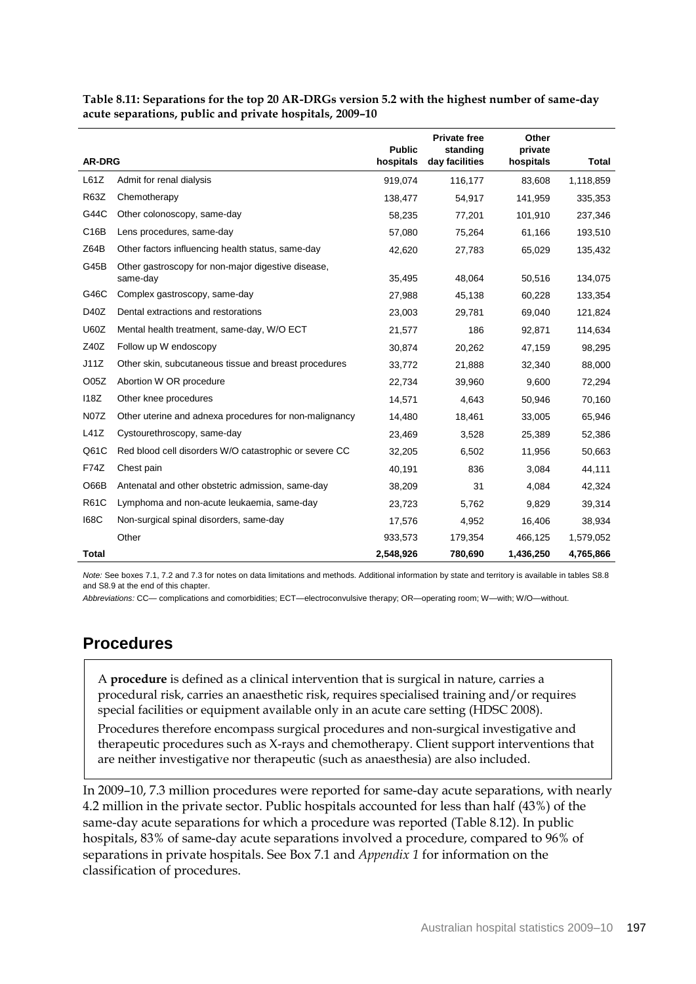|                  |                                                                | <b>Public</b> | <b>Private free</b><br>standing | Other<br>private |           |
|------------------|----------------------------------------------------------------|---------------|---------------------------------|------------------|-----------|
| <b>AR-DRG</b>    |                                                                | hospitals     | day facilities                  | hospitals        | Total     |
| L61Z             | Admit for renal dialysis                                       | 919,074       | 116,177                         | 83,608           | 1,118,859 |
| <b>R63Z</b>      | Chemotherapy                                                   | 138,477       | 54,917                          | 141,959          | 335,353   |
| G44C             | Other colonoscopy, same-day                                    | 58,235        | 77,201                          | 101,910          | 237,346   |
| C16B             | Lens procedures, same-day                                      | 57,080        | 75,264                          | 61,166           | 193,510   |
| Z64B             | Other factors influencing health status, same-day              | 42,620        | 27,783                          | 65,029           | 135,432   |
| G45B             | Other gastroscopy for non-major digestive disease,<br>same-day | 35,495        | 48,064                          | 50,516           | 134,075   |
| G46C             | Complex gastroscopy, same-day                                  | 27,988        | 45,138                          | 60,228           | 133,354   |
| D40Z             | Dental extractions and restorations                            | 23,003        | 29,781                          | 69,040           | 121,824   |
| <b>U60Z</b>      | Mental health treatment, same-day, W/O ECT                     | 21,577        | 186                             | 92,871           | 114,634   |
| Z40Z             | Follow up W endoscopy                                          | 30,874        | 20,262                          | 47,159           | 98,295    |
| J11Z             | Other skin, subcutaneous tissue and breast procedures          | 33,772        | 21,888                          | 32,340           | 88,000    |
| O <sub>05Z</sub> | Abortion W OR procedure                                        | 22,734        | 39,960                          | 9,600            | 72,294    |
| 118Z             | Other knee procedures                                          | 14,571        | 4,643                           | 50,946           | 70,160    |
| <b>N07Z</b>      | Other uterine and adnexa procedures for non-malignancy         | 14,480        | 18,461                          | 33,005           | 65,946    |
| L41Z             | Cystourethroscopy, same-day                                    | 23,469        | 3,528                           | 25,389           | 52,386    |
| Q61C             | Red blood cell disorders W/O catastrophic or severe CC         | 32,205        | 6,502                           | 11,956           | 50,663    |
| <b>F74Z</b>      | Chest pain                                                     | 40,191        | 836                             | 3,084            | 44,111    |
| O66B             | Antenatal and other obstetric admission, same-day              | 38,209        | 31                              | 4,084            | 42,324    |
| <b>R61C</b>      | Lymphoma and non-acute leukaemia, same-day                     | 23,723        | 5,762                           | 9,829            | 39,314    |
| <b>168C</b>      | Non-surgical spinal disorders, same-day                        | 17,576        | 4,952                           | 16,406           | 38,934    |
|                  | Other                                                          | 933,573       | 179,354                         | 466,125          | 1,579,052 |
| Total            |                                                                | 2,548,926     | 780,690                         | 1,436,250        | 4,765,866 |

**Table 8.11: Separations for the top 20 AR-DRGs version 5.2 with the highest number of same-day acute separations, public and private hospitals, 2009–10**

*Note:* See boxes 7.1, 7.2 and 7.3 for notes on data limitations and methods. Additional information by state and territory is available in tables S8.8 and S8.9 at the end of this chapter.

*Abbreviations:* CC— complications and comorbidities; ECT—electroconvulsive therapy; OR—operating room; W—with; W/O—without.

### **Procedures**

A **procedure** is defined as a clinical intervention that is surgical in nature, carries a procedural risk, carries an anaesthetic risk, requires specialised training and/or requires special facilities or equipment available only in an acute care setting (HDSC 2008).

Procedures therefore encompass surgical procedures and non-surgical investigative and therapeutic procedures such as X-rays and chemotherapy. Client support interventions that are neither investigative nor therapeutic (such as anaesthesia) are also included.

In 2009–10, 7.3 million procedures were reported for same-day acute separations, with nearly 4.2 million in the private sector. Public hospitals accounted for less than half (43%) of the same-day acute separations for which a procedure was reported (Table 8.12). In public hospitals, 83% of same-day acute separations involved a procedure, compared to 96% of separations in private hospitals. See Box 7.1 and *Appendix 1* for information on the classification of procedures.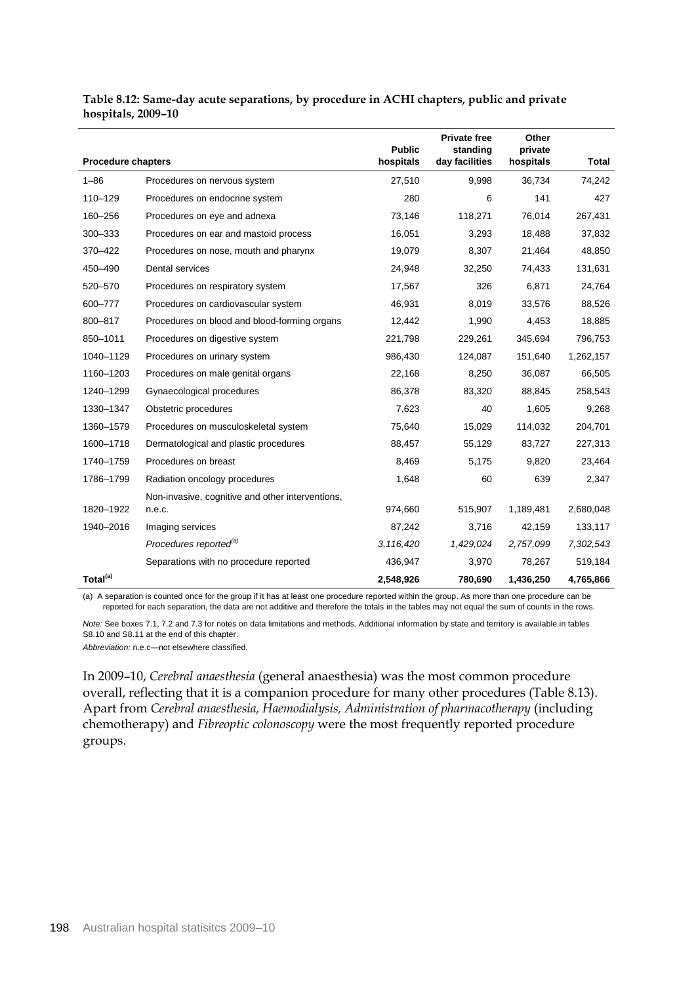|                           |                                                  | <b>Public</b> | <b>Private free</b><br>standing | Other<br>private |              |
|---------------------------|--------------------------------------------------|---------------|---------------------------------|------------------|--------------|
| <b>Procedure chapters</b> |                                                  | hospitals     | day facilities                  | hospitals        | <b>Total</b> |
| $1 - 86$                  | Procedures on nervous system                     | 27,510        | 9,998                           | 36,734           | 74,242       |
| 110-129                   | Procedures on endocrine system                   | 280           | 6                               | 141              | 427          |
| 160-256                   | Procedures on eye and adnexa                     | 73,146        | 118,271                         | 76,014           | 267,431      |
| 300-333                   | Procedures on ear and mastoid process            | 16,051        | 3,293                           | 18,488           | 37,832       |
| 370-422                   | Procedures on nose, mouth and pharynx            | 19,079        | 8,307                           | 21,464           | 48,850       |
| 450-490                   | Dental services                                  | 24,948        | 32,250                          | 74,433           | 131,631      |
| 520-570                   | Procedures on respiratory system                 | 17,567        | 326                             | 6,871            | 24,764       |
| 600-777                   | Procedures on cardiovascular system              | 46,931        | 8,019                           | 33,576           | 88,526       |
| 800-817                   | Procedures on blood and blood-forming organs     | 12,442        | 1,990                           | 4,453            | 18,885       |
| 850-1011                  | Procedures on digestive system                   | 221,798       | 229,261                         | 345,694          | 796,753      |
| 1040-1129                 | Procedures on urinary system                     | 986,430       | 124,087                         | 151,640          | 1,262,157    |
| 1160-1203                 | Procedures on male genital organs                | 22,168        | 8,250                           | 36,087           | 66,505       |
| 1240-1299                 | Gynaecological procedures                        | 86,378        | 83,320                          | 88,845           | 258,543      |
| 1330-1347                 | Obstetric procedures                             | 7,623         | 40                              | 1,605            | 9,268        |
| 1360-1579                 | Procedures on musculoskeletal system             | 75,640        | 15,029                          | 114,032          | 204,701      |
| 1600-1718                 | Dermatological and plastic procedures            | 88,457        | 55,129                          | 83,727           | 227,313      |
| 1740-1759                 | Procedures on breast                             | 8,469         | 5,175                           | 9,820            | 23,464       |
| 1786-1799                 | Radiation oncology procedures                    | 1,648         | 60                              | 639              | 2,347        |
|                           | Non-invasive, cognitive and other interventions, |               |                                 |                  |              |
| 1820-1922                 | n.e.c.                                           | 974,660       | 515,907                         | 1,189,481        | 2,680,048    |
| 1940-2016                 | Imaging services                                 | 87,242        | 3,716                           | 42,159           | 133,117      |
|                           | Procedures reported <sup>(a)</sup>               | 3,116,420     | 1,429,024                       | 2,757,099        | 7,302,543    |
|                           | Separations with no procedure reported           | 436,947       | 3,970                           | 78,267           | 519,184      |
| Total <sup>(a)</sup>      |                                                  | 2,548,926     | 780,690                         | 1,436,250        | 4,765,866    |

#### **Table 8.12: Same-day acute separations, by procedure in ACHI chapters, public and private hospitals, 2009–10**

(a) A separation is counted once for the group if it has at least one procedure reported within the group. As more than one procedure can be reported for each separation, the data are not additive and therefore the totals in the tables may not equal the sum of counts in the rows.

*Note:* See boxes 7.1, 7.2 and 7.3 for notes on data limitations and methods. Additional information by state and territory is available in tables S8.10 and S8.11 at the end of this chapter.

*Abbreviation:* n.e.c—not elsewhere classified.

In 2009–10, *Cerebral anaesthesia* (general anaesthesia) was the most common procedure overall, reflecting that it is a companion procedure for many other procedures (Table 8.13). Apart from *Cerebral anaesthesia, Haemodialysis, Administration of pharmacotherapy* (including chemotherapy) and *Fibreoptic colonoscopy* were the most frequently reported procedure groups.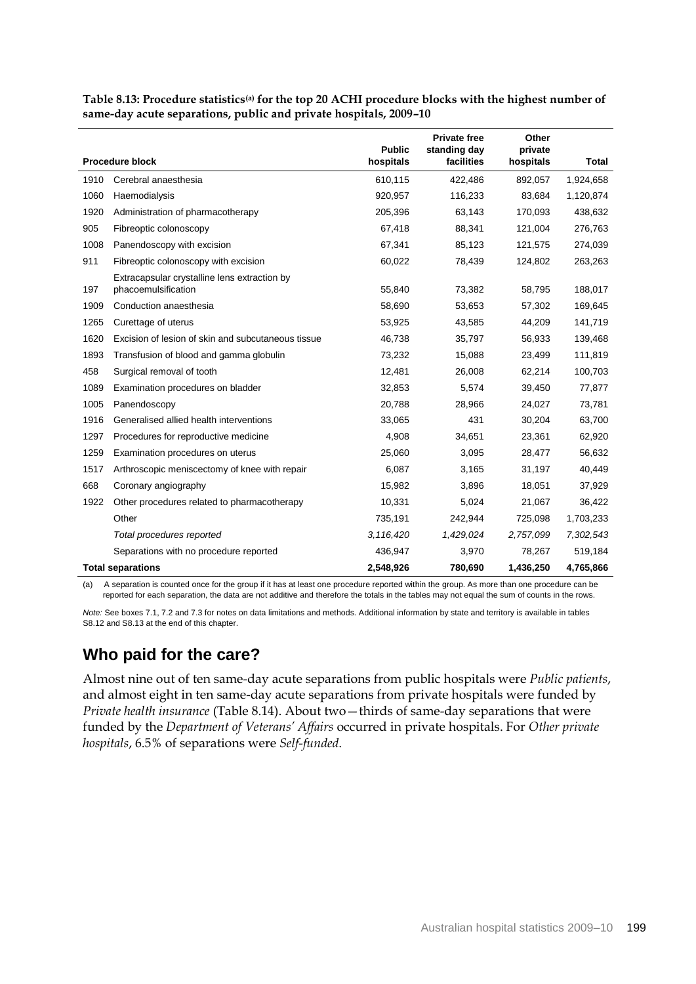|      |                                                    |                            | <b>Private free</b>        | Other                |              |
|------|----------------------------------------------------|----------------------------|----------------------------|----------------------|--------------|
|      | <b>Procedure block</b>                             | <b>Public</b><br>hospitals | standing day<br>facilities | private<br>hospitals | <b>Total</b> |
| 1910 | Cerebral anaesthesia                               | 610,115                    | 422,486                    | 892,057              | 1,924,658    |
| 1060 | Haemodialysis                                      | 920,957                    | 116,233                    | 83,684               | 1,120,874    |
| 1920 | Administration of pharmacotherapy                  | 205,396                    | 63,143                     | 170,093              | 438,632      |
| 905  | Fibreoptic colonoscopy                             | 67,418                     | 88,341                     | 121,004              | 276,763      |
| 1008 | Panendoscopy with excision                         | 67,341                     | 85,123                     | 121,575              | 274,039      |
| 911  | Fibreoptic colonoscopy with excision               | 60,022                     | 78,439                     | 124,802              | 263,263      |
|      | Extracapsular crystalline lens extraction by       |                            |                            |                      |              |
| 197  | phacoemulsification                                | 55,840                     | 73,382                     | 58,795               | 188,017      |
| 1909 | Conduction anaesthesia                             | 58,690                     | 53,653                     | 57,302               | 169,645      |
| 1265 | Curettage of uterus                                | 53,925                     | 43,585                     | 44,209               | 141,719      |
| 1620 | Excision of lesion of skin and subcutaneous tissue | 46,738                     | 35,797                     | 56,933               | 139,468      |
| 1893 | Transfusion of blood and gamma globulin            | 73,232                     | 15,088                     | 23,499               | 111,819      |
| 458  | Surgical removal of tooth                          | 12,481                     | 26,008                     | 62,214               | 100,703      |
| 1089 | Examination procedures on bladder                  | 32.853                     | 5,574                      | 39,450               | 77,877       |
| 1005 | Panendoscopy                                       | 20,788                     | 28,966                     | 24,027               | 73,781       |
| 1916 | Generalised allied health interventions            | 33,065                     | 431                        | 30,204               | 63,700       |
| 1297 | Procedures for reproductive medicine               | 4,908                      | 34,651                     | 23,361               | 62,920       |
| 1259 | Examination procedures on uterus                   | 25,060                     | 3,095                      | 28,477               | 56,632       |
| 1517 | Arthroscopic meniscectomy of knee with repair      | 6,087                      | 3,165                      | 31,197               | 40,449       |
| 668  | Coronary angiography                               | 15,982                     | 3,896                      | 18,051               | 37,929       |
| 1922 | Other procedures related to pharmacotherapy        | 10,331                     | 5,024                      | 21,067               | 36,422       |
|      | Other                                              | 735,191                    | 242,944                    | 725,098              | 1,703,233    |
|      | Total procedures reported                          | 3,116,420                  | 1,429,024                  | 2,757,099            | 7,302,543    |
|      | Separations with no procedure reported             | 436,947                    | 3,970                      | 78,267               | 519,184      |
|      | <b>Total separations</b>                           | 2,548,926                  | 780,690                    | 1,436,250            | 4,765,866    |

**Table 8.13: Procedure statistics(a) for the top 20 ACHI procedure blocks with the highest number of same-day acute separations, public and private hospitals, 2009–10** 

(a) A separation is counted once for the group if it has at least one procedure reported within the group. As more than one procedure can be reported for each separation, the data are not additive and therefore the totals in the tables may not equal the sum of counts in the rows.

*Note:* See boxes 7.1, 7.2 and 7.3 for notes on data limitations and methods. Additional information by state and territory is available in tables S8.12 and S8.13 at the end of this chapter.

### **Who paid for the care?**

Almost nine out of ten same-day acute separations from public hospitals were *Public patients*, and almost eight in ten same-day acute separations from private hospitals were funded by *Private health insurance* (Table 8.14). About two—thirds of same-day separations that were funded by the *Department of Veterans' Affairs* occurred in private hospitals. For *Other private hospitals*, 6.5% of separations were *Self-funded*.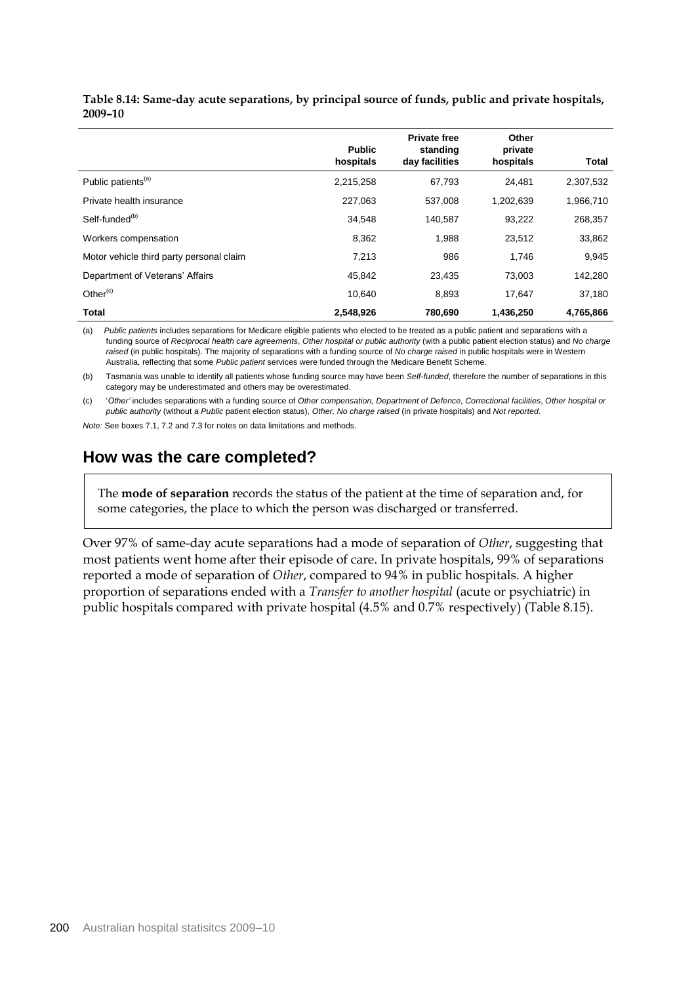|                                          | <b>Public</b><br>hospitals | <b>Private free</b><br>standing<br>day facilities | Other<br>private<br>hospitals | <b>Total</b> |
|------------------------------------------|----------------------------|---------------------------------------------------|-------------------------------|--------------|
| Public patients <sup>(a)</sup>           | 2,215,258                  | 67.793                                            | 24.481                        | 2,307,532    |
| Private health insurance                 | 227,063                    | 537,008                                           | 1,202,639                     | 1,966,710    |
| Self-funded <sup>(b)</sup>               | 34,548                     | 140,587                                           | 93,222                        | 268,357      |
| Workers compensation                     | 8,362                      | 1,988                                             | 23,512                        | 33,862       |
| Motor vehicle third party personal claim | 7,213                      | 986                                               | 1.746                         | 9,945        |
| Department of Veterans' Affairs          | 45,842                     | 23.435                                            | 73,003                        | 142,280      |
| Other $(c)$                              | 10.640                     | 8.893                                             | 17.647                        | 37,180       |
| Total                                    | 2,548,926                  | 780,690                                           | 1,436,250                     | 4,765,866    |

**Table 8.14: Same-day acute separations, by principal source of funds, public and private hospitals, 2009–10** 

(a) *Public patients* includes separations for Medicare eligible patients who elected to be treated as a public patient and separations with a funding source of *Reciprocal health care agreements*, *Other hospital or public authority* (with a public patient election status) and *No charge raised* (in public hospitals). The majority of separations with a funding source of *No charge raised* in public hospitals were in Western Australia, reflecting that some *Public patient* services were funded through the Medicare Benefit Scheme.

(b) Tasmania was unable to identify all patients whose funding source may have been *Self-funded*, therefore the number of separations in this category may be underestimated and others may be overestimated.

(c) '*Other'* includes separations with a funding source of *Other compensation, Department of Defence*, *Correctional facilities*, *Other hospital or public authority* (without a *Public* patient election status), *Other, No charge raised* (in private hospitals) and *Not reported*.

*Note:* See boxes 7.1, 7.2 and 7.3 for notes on data limitations and methods.

### **How was the care completed?**

The **mode of separation** records the status of the patient at the time of separation and, for some categories, the place to which the person was discharged or transferred.

Over 97% of same-day acute separations had a mode of separation of *Other*, suggesting that most patients went home after their episode of care. In private hospitals, 99% of separations reported a mode of separation of *Other*, compared to 94% in public hospitals. A higher proportion of separations ended with a *Transfer to another hospital* (acute or psychiatric) in public hospitals compared with private hospital (4.5% and 0.7% respectively) (Table 8.15).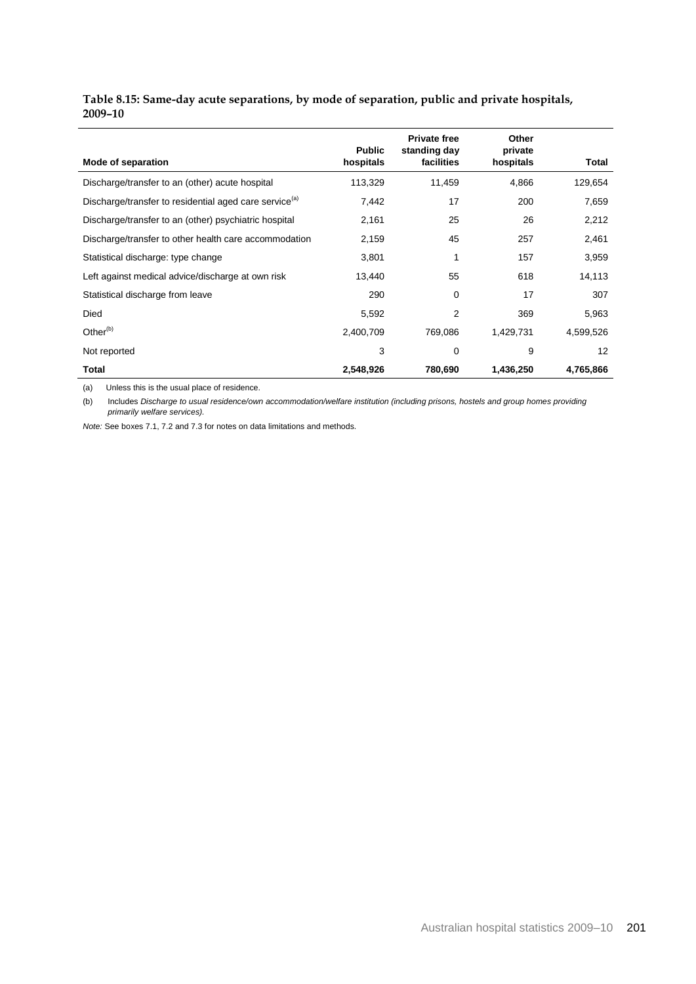### **Table 8.15: Same-day acute separations, by mode of separation, public and private hospitals, 2009–10**

|                                                                    | <b>Public</b> | <b>Private free</b><br>standing day | Other<br>private |           |
|--------------------------------------------------------------------|---------------|-------------------------------------|------------------|-----------|
| Mode of separation                                                 | hospitals     | facilities                          | hospitals        | Total     |
| Discharge/transfer to an (other) acute hospital                    | 113,329       | 11,459                              | 4,866            | 129,654   |
| Discharge/transfer to residential aged care service <sup>(a)</sup> | 7,442         | 17                                  | 200              | 7,659     |
| Discharge/transfer to an (other) psychiatric hospital              | 2,161         | 25                                  | 26               | 2,212     |
| Discharge/transfer to other health care accommodation              | 2,159         | 45                                  | 257              | 2,461     |
| Statistical discharge: type change                                 | 3,801         | 1                                   | 157              | 3,959     |
| Left against medical advice/discharge at own risk                  | 13,440        | 55                                  | 618              | 14,113    |
| Statistical discharge from leave                                   | 290           | 0                                   | 17               | 307       |
| <b>Died</b>                                                        | 5,592         | 2                                   | 369              | 5,963     |
| Other $(b)$                                                        | 2,400,709     | 769,086                             | 1,429,731        | 4,599,526 |
| Not reported                                                       | 3             | 0                                   | 9                | 12        |
| Total                                                              | 2,548,926     | 780,690                             | 1,436,250        | 4,765,866 |

(a) Unless this is the usual place of residence.

(b) Includes *Discharge to usual residence/own accommodation/welfare institution (including prisons, hostels and group homes providing primarily welfare services).*

*Note:* See boxes 7.1, 7.2 and 7.3 for notes on data limitations and methods.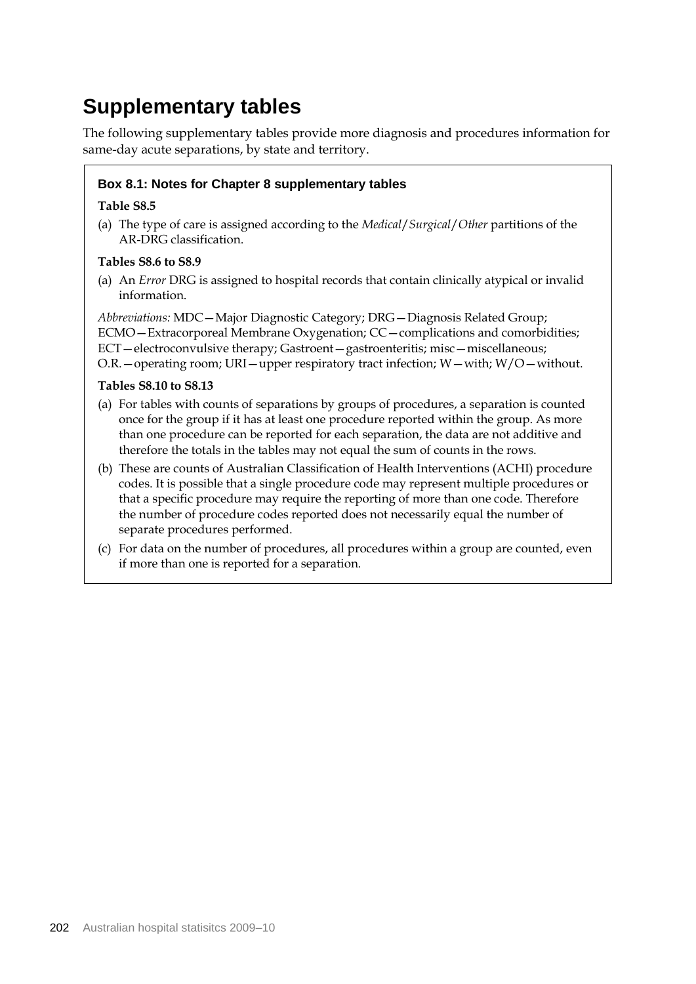## **Supplementary tables**

The following supplementary tables provide more diagnosis and procedures information for same-day acute separations, by state and territory.

### **Box 8.1: Notes for Chapter 8 supplementary tables**

### **Table S8.5**

(a) The type of care is assigned according to the *Medical*/*Surgical*/*Other* partitions of the AR-DRG classification.

### **Tables S8.6 to S8.9**

(a) An *Error* DRG is assigned to hospital records that contain clinically atypical or invalid information.

*Abbreviations:* MDC—Major Diagnostic Category; DRG—Diagnosis Related Group; ECMO—Extracorporeal Membrane Oxygenation; CC—complications and comorbidities; ECT—electroconvulsive therapy; Gastroent—gastroenteritis; misc—miscellaneous; O.R. – operating room; URI – upper respiratory tract infection;  $W$  – with;  $W/O$  – without.

### **Tables S8.10 to S8.13**

- (a) For tables with counts of separations by groups of procedures, a separation is counted once for the group if it has at least one procedure reported within the group. As more than one procedure can be reported for each separation, the data are not additive and therefore the totals in the tables may not equal the sum of counts in the rows.
- (b) These are counts of Australian Classification of Health Interventions (ACHI) procedure codes. It is possible that a single procedure code may represent multiple procedures or that a specific procedure may require the reporting of more than one code. Therefore the number of procedure codes reported does not necessarily equal the number of separate procedures performed.
- (c) For data on the number of procedures, all procedures within a group are counted, even if more than one is reported for a separation.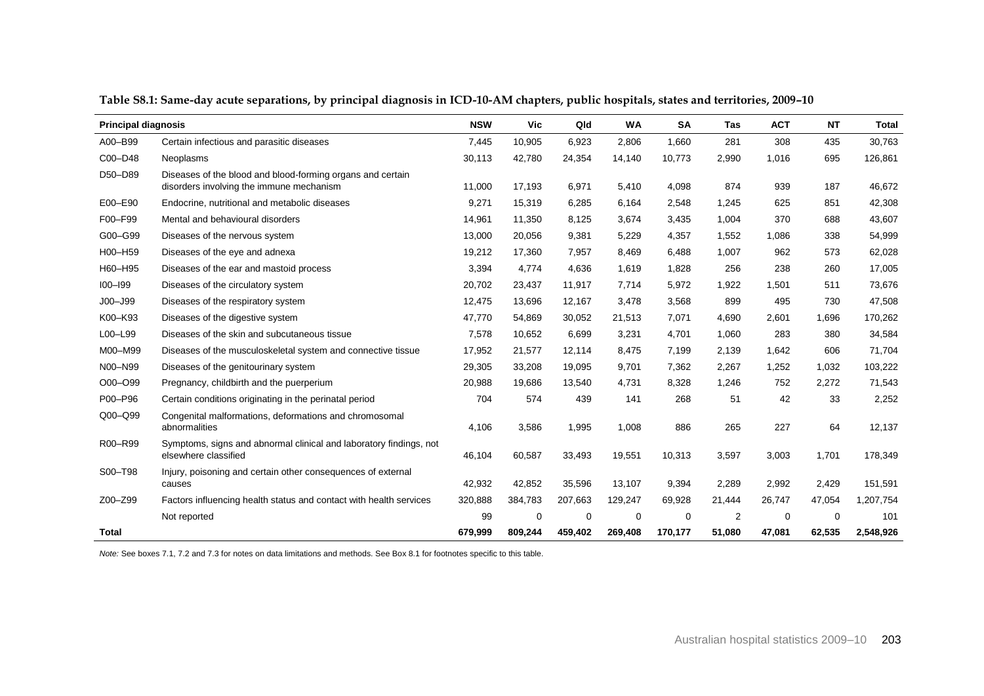| <b>Principal diagnosis</b> |                                                                                                        | <b>NSW</b> | Vic         | Qld     | <b>WA</b>   | <b>SA</b> | <b>Tas</b> | <b>ACT</b> | <b>NT</b> | <b>Total</b> |
|----------------------------|--------------------------------------------------------------------------------------------------------|------------|-------------|---------|-------------|-----------|------------|------------|-----------|--------------|
| A00-B99                    | Certain infectious and parasitic diseases                                                              | 7,445      | 10,905      | 6,923   | 2,806       | 1,660     | 281        | 308        | 435       | 30,763       |
| C00-D48                    | Neoplasms                                                                                              | 30,113     | 42,780      | 24,354  | 14,140      | 10,773    | 2,990      | 1,016      | 695       | 126,861      |
| D50-D89                    | Diseases of the blood and blood-forming organs and certain<br>disorders involving the immune mechanism | 11,000     | 17,193      | 6,971   | 5,410       | 4,098     | 874        | 939        | 187       | 46,672       |
| E00-E90                    | Endocrine, nutritional and metabolic diseases                                                          | 9,271      | 15.319      | 6.285   | 6,164       | 2,548     | 1.245      | 625        | 851       | 42,308       |
| F00-F99                    | Mental and behavioural disorders                                                                       | 14,961     | 11,350      | 8,125   | 3,674       | 3,435     | 1,004      | 370        | 688       | 43,607       |
| G00-G99                    | Diseases of the nervous system                                                                         | 13,000     | 20,056      | 9,381   | 5,229       | 4,357     | 1,552      | 1,086      | 338       | 54,999       |
| H00-H59                    | Diseases of the eye and adnexa                                                                         | 19,212     | 17,360      | 7,957   | 8,469       | 6,488     | 1,007      | 962        | 573       | 62,028       |
| H60-H95                    | Diseases of the ear and mastoid process                                                                | 3,394      | 4,774       | 4,636   | 1,619       | 1,828     | 256        | 238        | 260       | 17,005       |
| $100 - 199$                | Diseases of the circulatory system                                                                     | 20,702     | 23,437      | 11,917  | 7,714       | 5,972     | 1,922      | 1.501      | 511       | 73,676       |
| $JOO - J99$                | Diseases of the respiratory system                                                                     | 12,475     | 13,696      | 12,167  | 3,478       | 3,568     | 899        | 495        | 730       | 47,508       |
| K00-K93                    | Diseases of the digestive system                                                                       | 47,770     | 54,869      | 30,052  | 21,513      | 7,071     | 4,690      | 2,601      | 1,696     | 170,262      |
| L00-L99                    | Diseases of the skin and subcutaneous tissue                                                           | 7,578      | 10,652      | 6,699   | 3,231       | 4,701     | 1,060      | 283        | 380       | 34,584       |
| M00-M99                    | Diseases of the musculoskeletal system and connective tissue                                           | 17,952     | 21,577      | 12,114  | 8,475       | 7,199     | 2,139      | 1,642      | 606       | 71,704       |
| N00-N99                    | Diseases of the genitourinary system                                                                   | 29,305     | 33,208      | 19,095  | 9,701       | 7,362     | 2,267      | 1,252      | 1,032     | 103,222      |
| O00-O99                    | Pregnancy, childbirth and the puerperium                                                               | 20,988     | 19,686      | 13,540  | 4,731       | 8,328     | 1,246      | 752        | 2,272     | 71,543       |
| P00-P96                    | Certain conditions originating in the perinatal period                                                 | 704        | 574         | 439     | 141         | 268       | 51         | 42         | 33        | 2,252        |
| Q00-Q99                    | Congenital malformations, deformations and chromosomal<br>abnormalities                                | 4,106      | 3,586       | 1,995   | 1,008       | 886       | 265        | 227        | 64        | 12,137       |
| R00-R99                    | Symptoms, signs and abnormal clinical and laboratory findings, not<br>elsewhere classified             | 46,104     | 60,587      | 33,493  | 19,551      | 10,313    | 3,597      | 3,003      | 1,701     | 178,349      |
| S00-T98                    | Injury, poisoning and certain other consequences of external<br>causes                                 | 42,932     | 42,852      | 35,596  | 13,107      | 9,394     | 2,289      | 2,992      | 2,429     | 151,591      |
| Z00-Z99                    | Factors influencing health status and contact with health services                                     | 320,888    | 384,783     | 207,663 | 129,247     | 69,928    | 21,444     | 26,747     | 47,054    | 1,207,754    |
|                            | Not reported                                                                                           | 99         | $\mathbf 0$ | 0       | $\mathbf 0$ | 0         | 2          | 0          | 0         | 101          |
| <b>Total</b>               |                                                                                                        | 679,999    | 809,244     | 459,402 | 269,408     | 170,177   | 51,080     | 47,081     | 62,535    | 2,548,926    |

**Table S8.1: Same-day acute separations, by principal diagnosis in ICD-10-AM chapters, public hospitals, states and territories, 2009–10**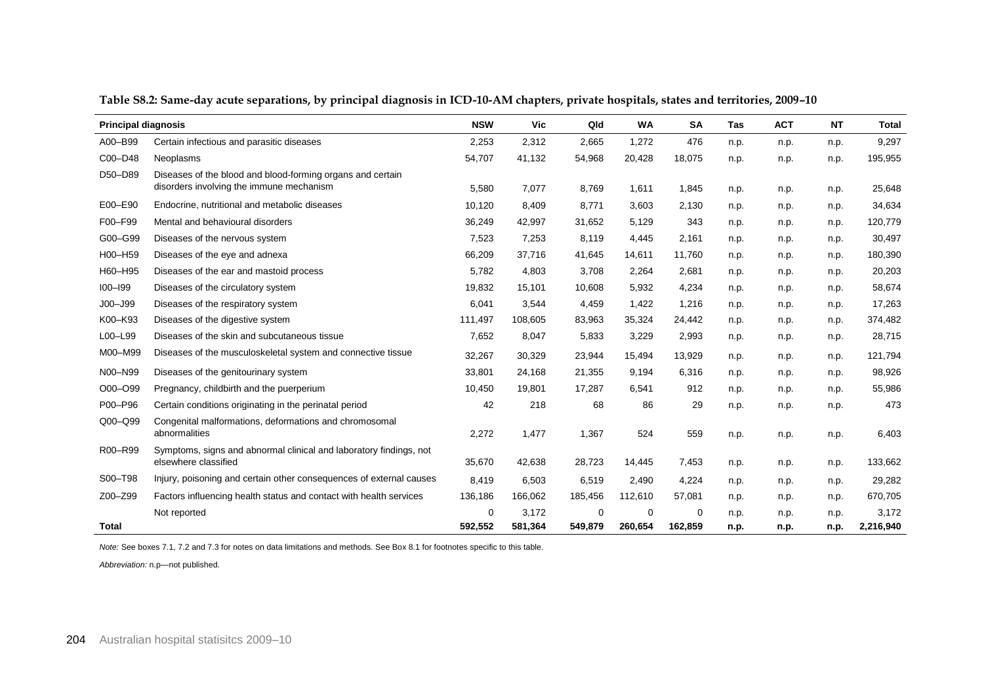| <b>Principal diagnosis</b> |                                                                                            | <b>NSW</b> | Vic     | Qld     | <b>WA</b> | <b>SA</b> | Tas  | <b>ACT</b> | <b>NT</b> | <b>Total</b> |
|----------------------------|--------------------------------------------------------------------------------------------|------------|---------|---------|-----------|-----------|------|------------|-----------|--------------|
| A00-B99                    | Certain infectious and parasitic diseases                                                  | 2,253      | 2,312   | 2,665   | 1,272     | 476       | n.p. | n.p.       | n.p.      | 9,297        |
| C00-D48                    | Neoplasms                                                                                  | 54,707     | 41,132  | 54,968  | 20,428    | 18,075    | n.p. | n.p.       | n.p.      | 195,955      |
| D50-D89                    | Diseases of the blood and blood-forming organs and certain                                 |            |         |         |           |           |      |            |           |              |
|                            | disorders involving the immune mechanism                                                   | 5,580      | 7,077   | 8.769   | 1,611     | 1,845     | n.p. | n.p.       | n.p.      | 25,648       |
| E00-E90                    | Endocrine, nutritional and metabolic diseases                                              | 10,120     | 8,409   | 8,771   | 3,603     | 2,130     | n.p. | n.p.       | n.p.      | 34,634       |
| F00-F99                    | Mental and behavioural disorders                                                           | 36,249     | 42,997  | 31,652  | 5,129     | 343       | n.p. | n.p.       | n.p.      | 120,779      |
| G00-G99                    | Diseases of the nervous system                                                             | 7,523      | 7,253   | 8,119   | 4,445     | 2,161     | n.p. | n.p.       | n.p.      | 30,497       |
| H00-H59                    | Diseases of the eye and adnexa                                                             | 66,209     | 37,716  | 41,645  | 14,611    | 11,760    | n.p. | n.p.       | n.p.      | 180,390      |
| H60-H95                    | Diseases of the ear and mastoid process                                                    | 5,782      | 4,803   | 3,708   | 2,264     | 2,681     | n.p. | n.p.       | n.p.      | 20,203       |
| $100 - 199$                | Diseases of the circulatory system                                                         | 19,832     | 15,101  | 10,608  | 5,932     | 4,234     | n.p. | n.p.       | n.p.      | 58,674       |
| $JOO - J99$                | Diseases of the respiratory system                                                         | 6,041      | 3,544   | 4,459   | 1,422     | 1,216     | n.p. | n.p.       | n.p.      | 17,263       |
| K00-K93                    | Diseases of the digestive system                                                           | 111,497    | 108,605 | 83,963  | 35,324    | 24,442    | n.p. | n.p.       | n.p.      | 374,482      |
| L00-L99                    | Diseases of the skin and subcutaneous tissue                                               | 7,652      | 8,047   | 5,833   | 3,229     | 2,993     | n.p. | n.p.       | n.p.      | 28,715       |
| M00-M99                    | Diseases of the musculoskeletal system and connective tissue                               | 32,267     | 30,329  | 23,944  | 15,494    | 13,929    | n.p. | n.p.       | n.p.      | 121,794      |
| N00-N99                    | Diseases of the genitourinary system                                                       | 33,801     | 24,168  | 21,355  | 9,194     | 6,316     | n.p. | n.p.       | n.p.      | 98,926       |
| O00-O99                    | Pregnancy, childbirth and the puerperium                                                   | 10,450     | 19,801  | 17,287  | 6,541     | 912       | n.p. | n.p.       | n.p.      | 55,986       |
| P00-P96                    | Certain conditions originating in the perinatal period                                     | 42         | 218     | 68      | 86        | 29        | n.p. | n.p.       | n.p.      | 473          |
| Q00-Q99                    | Congenital malformations, deformations and chromosomal<br>abnormalities                    | 2,272      | 1,477   | 1,367   | 524       | 559       | n.p. | n.p.       | n.p.      | 6,403        |
| R00-R99                    | Symptoms, signs and abnormal clinical and laboratory findings, not<br>elsewhere classified | 35,670     | 42,638  | 28,723  | 14,445    | 7,453     | n.p. | n.p.       | n.p.      | 133,662      |
| S00-T98                    | Injury, poisoning and certain other consequences of external causes                        | 8,419      | 6,503   | 6,519   | 2,490     | 4,224     | n.p. | n.p.       | n.p.      | 29,282       |
| Z00-Z99                    | Factors influencing health status and contact with health services                         | 136,186    | 166,062 | 185,456 | 112,610   | 57,081    | n.p. | n.p.       | n.p.      | 670,705      |
|                            | Not reported                                                                               | 0          | 3,172   | 0       | $\Omega$  | $\Omega$  | n.p. | n.p.       | n.p.      | 3,172        |
| Total                      |                                                                                            | 592,552    | 581,364 | 549,879 | 260,654   | 162,859   | n.p. | n.p.       | n.p.      | 2,216,940    |

**Table S8.2: Same-day acute separations, by principal diagnosis in ICD-10-AM chapters, private hospitals, states and territories, 2009–10**

*Abbreviation:* n.p—not published.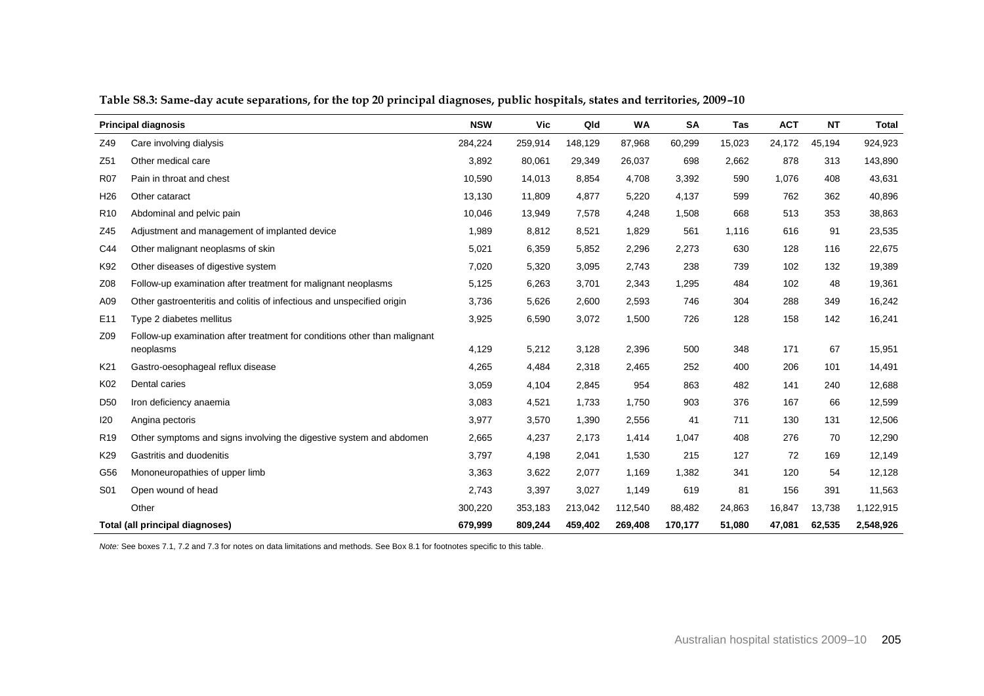|                 | <b>Principal diagnosis</b>                                                | <b>NSW</b> | <b>Vic</b> | Qld     | <b>WA</b> | <b>SA</b> | <b>Tas</b> | <b>ACT</b> | <b>NT</b> | Total     |
|-----------------|---------------------------------------------------------------------------|------------|------------|---------|-----------|-----------|------------|------------|-----------|-----------|
| Z49             | Care involving dialysis                                                   | 284,224    | 259,914    | 148,129 | 87,968    | 60,299    | 15,023     | 24,172     | 45,194    | 924,923   |
| Z51             | Other medical care                                                        | 3,892      | 80,061     | 29,349  | 26,037    | 698       | 2,662      | 878        | 313       | 143,890   |
| <b>R07</b>      | Pain in throat and chest                                                  | 10,590     | 14,013     | 8,854   | 4,708     | 3,392     | 590        | 1,076      | 408       | 43,631    |
| H <sub>26</sub> | Other cataract                                                            | 13,130     | 11,809     | 4,877   | 5,220     | 4,137     | 599        | 762        | 362       | 40,896    |
| R <sub>10</sub> | Abdominal and pelvic pain                                                 | 10,046     | 13,949     | 7,578   | 4,248     | 1,508     | 668        | 513        | 353       | 38,863    |
| Z45             | Adjustment and management of implanted device                             | 1,989      | 8,812      | 8,521   | 1,829     | 561       | 1,116      | 616        | 91        | 23,535    |
| C44             | Other malignant neoplasms of skin                                         | 5,021      | 6,359      | 5,852   | 2,296     | 2,273     | 630        | 128        | 116       | 22,675    |
| K92             | Other diseases of digestive system                                        | 7,020      | 5,320      | 3,095   | 2,743     | 238       | 739        | 102        | 132       | 19,389    |
| Z08             | Follow-up examination after treatment for malignant neoplasms             | 5,125      | 6,263      | 3,701   | 2,343     | 1,295     | 484        | 102        | 48        | 19,361    |
| A09             | Other gastroenteritis and colitis of infectious and unspecified origin    | 3,736      | 5,626      | 2,600   | 2,593     | 746       | 304        | 288        | 349       | 16,242    |
| E <sub>11</sub> | Type 2 diabetes mellitus                                                  | 3,925      | 6,590      | 3,072   | 1,500     | 726       | 128        | 158        | 142       | 16,241    |
| Z09             | Follow-up examination after treatment for conditions other than malignant |            |            |         |           |           |            |            |           |           |
|                 | neoplasms                                                                 | 4,129      | 5,212      | 3,128   | 2,396     | 500       | 348        | 171        | 67        | 15,951    |
| K21             | Gastro-oesophageal reflux disease                                         | 4,265      | 4,484      | 2,318   | 2,465     | 252       | 400        | 206        | 101       | 14,491    |
| K02             | Dental caries                                                             | 3,059      | 4,104      | 2,845   | 954       | 863       | 482        | 141        | 240       | 12,688    |
| D <sub>50</sub> | Iron deficiency anaemia                                                   | 3,083      | 4,521      | 1,733   | 1,750     | 903       | 376        | 167        | 66        | 12,599    |
| 120             | Angina pectoris                                                           | 3,977      | 3,570      | 1,390   | 2,556     | 41        | 711        | 130        | 131       | 12,506    |
| R <sub>19</sub> | Other symptoms and signs involving the digestive system and abdomen       | 2,665      | 4,237      | 2,173   | 1,414     | 1,047     | 408        | 276        | 70        | 12,290    |
| K29             | Gastritis and duodenitis                                                  | 3,797      | 4,198      | 2,041   | 1,530     | 215       | 127        | 72         | 169       | 12,149    |
| G56             | Mononeuropathies of upper limb                                            | 3,363      | 3,622      | 2,077   | 1,169     | 1,382     | 341        | 120        | 54        | 12,128    |
| S01             | Open wound of head                                                        | 2,743      | 3,397      | 3,027   | 1,149     | 619       | 81         | 156        | 391       | 11,563    |
|                 | Other                                                                     | 300,220    | 353,183    | 213,042 | 112,540   | 88,482    | 24,863     | 16,847     | 13,738    | 1,122,915 |
|                 | Total (all principal diagnoses)                                           | 679,999    | 809,244    | 459,402 | 269,408   | 170,177   | 51,080     | 47,081     | 62,535    | 2,548,926 |

**Table S8.3: Same-day acute separations, for the top 20 principal diagnoses, public hospitals, states and territories, 2009–10**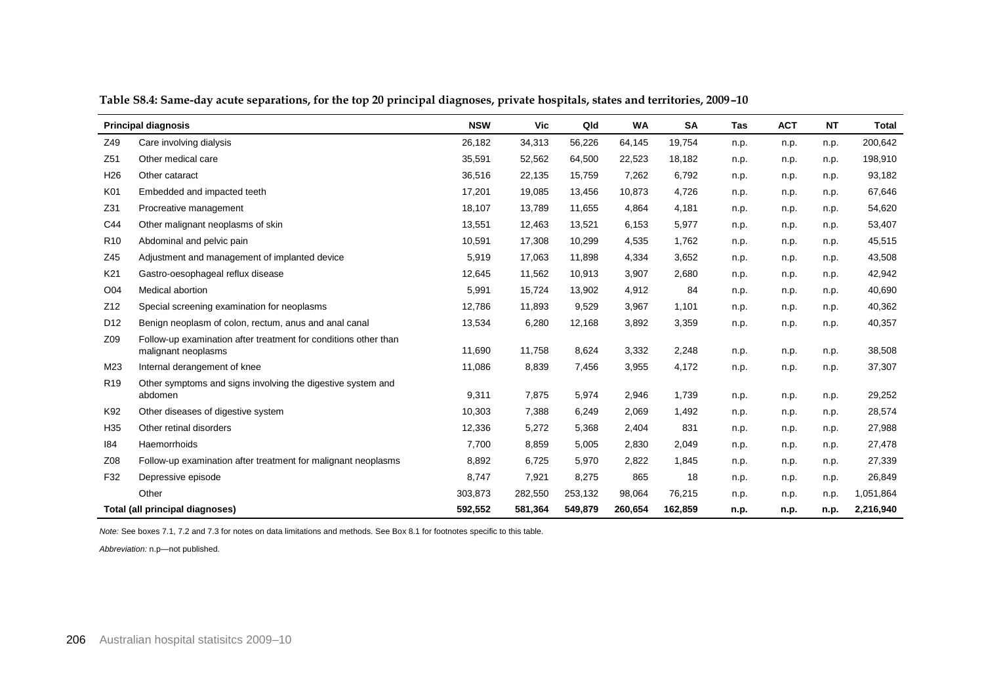|                 | <b>Principal diagnosis</b>                                                             |         | Vic     | Qld     | <b>WA</b> | <b>SA</b> | Tas  | <b>ACT</b> | <b>NT</b> | <b>Total</b> |
|-----------------|----------------------------------------------------------------------------------------|---------|---------|---------|-----------|-----------|------|------------|-----------|--------------|
| Z49             | Care involving dialysis                                                                | 26,182  | 34,313  | 56,226  | 64,145    | 19,754    | n.p. | n.p.       | n.p.      | 200,642      |
| Z51             | Other medical care                                                                     | 35,591  | 52,562  | 64,500  | 22,523    | 18,182    | n.p. | n.p.       | n.p.      | 198,910      |
| H <sub>26</sub> | Other cataract                                                                         | 36,516  | 22,135  | 15,759  | 7,262     | 6,792     | n.p. | n.p.       | n.p.      | 93,182       |
| K01             | Embedded and impacted teeth                                                            | 17,201  | 19,085  | 13,456  | 10,873    | 4,726     | n.p. | n.p.       | n.p.      | 67,646       |
| Z31             | Procreative management                                                                 | 18,107  | 13,789  | 11,655  | 4,864     | 4,181     | n.p. | n.p.       | n.p.      | 54,620       |
| C44             | Other malignant neoplasms of skin                                                      | 13,551  | 12,463  | 13,521  | 6,153     | 5,977     | n.p. | n.p.       | n.p.      | 53,407       |
| R <sub>10</sub> | Abdominal and pelvic pain                                                              | 10,591  | 17,308  | 10,299  | 4,535     | 1,762     | n.p. | n.p.       | n.p.      | 45,515       |
| Z45             | Adjustment and management of implanted device                                          | 5,919   | 17,063  | 11,898  | 4,334     | 3,652     | n.p. | n.p.       | n.p.      | 43,508       |
| K21             | Gastro-oesophageal reflux disease                                                      | 12,645  | 11,562  | 10,913  | 3,907     | 2,680     | n.p. | n.p.       | n.p.      | 42,942       |
| O04             | Medical abortion                                                                       | 5,991   | 15,724  | 13,902  | 4,912     | 84        | n.p. | n.p.       | n.p.      | 40,690       |
| Z12             | Special screening examination for neoplasms                                            | 12,786  | 11,893  | 9,529   | 3,967     | 1,101     | n.p. | n.p.       | n.p.      | 40,362       |
| D <sub>12</sub> | Benign neoplasm of colon, rectum, anus and anal canal                                  | 13,534  | 6,280   | 12,168  | 3,892     | 3,359     | n.p. | n.p.       | n.p.      | 40,357       |
| Z09             | Follow-up examination after treatment for conditions other than<br>malignant neoplasms | 11,690  | 11,758  | 8,624   | 3,332     | 2,248     | n.p. | n.p.       | n.p.      | 38,508       |
| M23             | Internal derangement of knee                                                           | 11,086  | 8,839   | 7,456   | 3,955     | 4,172     | n.p. | n.p.       | n.p.      | 37,307       |
| R <sub>19</sub> | Other symptoms and signs involving the digestive system and<br>abdomen                 | 9,311   | 7,875   | 5,974   | 2,946     | 1,739     | n.p. | n.p.       | n.p.      | 29,252       |
| K92             | Other diseases of digestive system                                                     | 10,303  | 7,388   | 6,249   | 2,069     | 1,492     | n.p. | n.p.       | n.p.      | 28,574       |
| H <sub>35</sub> | Other retinal disorders                                                                | 12,336  | 5,272   | 5,368   | 2,404     | 831       | n.p. | n.p.       | n.p.      | 27,988       |
| 184             | Haemorrhoids                                                                           | 7,700   | 8,859   | 5,005   | 2,830     | 2,049     | n.p. | n.p.       | n.p.      | 27,478       |
| Z08             | Follow-up examination after treatment for malignant neoplasms                          | 8,892   | 6,725   | 5,970   | 2,822     | 1,845     | n.p. | n.p.       | n.p.      | 27,339       |
| F32             | Depressive episode                                                                     | 8,747   | 7,921   | 8,275   | 865       | 18        | n.p. | n.p.       | n.p.      | 26,849       |
|                 | Other                                                                                  | 303,873 | 282,550 | 253,132 | 98,064    | 76,215    | n.p. | n.p.       | n.p.      | 1,051,864    |
|                 | Total (all principal diagnoses)                                                        | 592,552 | 581,364 | 549,879 | 260,654   | 162,859   | n.p. | n.p.       | n.p.      | 2,216,940    |

**Table S8.4: Same-day acute separations, for the top 20 principal diagnoses, private hospitals, states and territories, 2009–10**

*Abbreviation:* n.p—not published.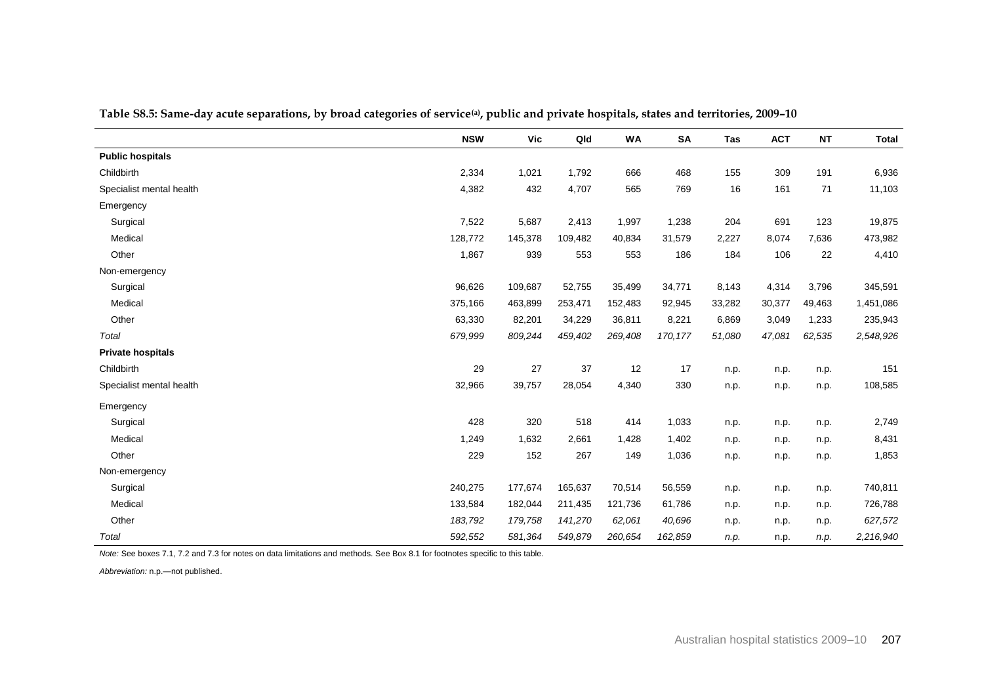|                          | <b>NSW</b> | Vic     | Qld     | <b>WA</b> | <b>SA</b> | <b>Tas</b> | <b>ACT</b> | <b>NT</b> | <b>Total</b> |
|--------------------------|------------|---------|---------|-----------|-----------|------------|------------|-----------|--------------|
| <b>Public hospitals</b>  |            |         |         |           |           |            |            |           |              |
| Childbirth               | 2,334      | 1,021   | 1,792   | 666       | 468       | 155        | 309        | 191       | 6,936        |
| Specialist mental health | 4,382      | 432     | 4,707   | 565       | 769       | 16         | 161        | 71        | 11,103       |
| Emergency                |            |         |         |           |           |            |            |           |              |
| Surgical                 | 7,522      | 5,687   | 2,413   | 1,997     | 1,238     | 204        | 691        | 123       | 19,875       |
| Medical                  | 128,772    | 145,378 | 109,482 | 40,834    | 31,579    | 2,227      | 8,074      | 7,636     | 473,982      |
| Other                    | 1,867      | 939     | 553     | 553       | 186       | 184        | 106        | 22        | 4,410        |
| Non-emergency            |            |         |         |           |           |            |            |           |              |
| Surgical                 | 96,626     | 109,687 | 52,755  | 35,499    | 34,771    | 8,143      | 4,314      | 3,796     | 345,591      |
| Medical                  | 375,166    | 463,899 | 253,471 | 152,483   | 92,945    | 33,282     | 30,377     | 49,463    | 1,451,086    |
| Other                    | 63,330     | 82,201  | 34,229  | 36,811    | 8,221     | 6,869      | 3,049      | 1,233     | 235,943      |
| Total                    | 679,999    | 809,244 | 459,402 | 269,408   | 170,177   | 51,080     | 47,081     | 62,535    | 2,548,926    |
| <b>Private hospitals</b> |            |         |         |           |           |            |            |           |              |
| Childbirth               | 29         | 27      | 37      | 12        | 17        | n.p.       | n.p.       | n.p.      | 151          |
| Specialist mental health | 32,966     | 39,757  | 28,054  | 4,340     | 330       | n.p.       | n.p.       | n.p.      | 108,585      |
| Emergency                |            |         |         |           |           |            |            |           |              |
| Surgical                 | 428        | 320     | 518     | 414       | 1,033     | n.p.       | n.p.       | n.p.      | 2,749        |
| Medical                  | 1,249      | 1,632   | 2,661   | 1,428     | 1,402     | n.p.       | n.p.       | n.p.      | 8,431        |
| Other                    | 229        | 152     | 267     | 149       | 1,036     | n.p.       | n.p.       | n.p.      | 1,853        |
| Non-emergency            |            |         |         |           |           |            |            |           |              |
| Surgical                 | 240,275    | 177,674 | 165,637 | 70,514    | 56,559    | n.p.       | n.p.       | n.p.      | 740,811      |
| Medical                  | 133,584    | 182,044 | 211,435 | 121,736   | 61,786    | n.p.       | n.p.       | n.p.      | 726,788      |
| Other                    | 183,792    | 179,758 | 141,270 | 62,061    | 40,696    | n.p.       | n.p.       | n.p.      | 627,572      |
| Total                    | 592,552    | 581,364 | 549,879 | 260,654   | 162,859   | n.p.       | n.p.       | n.p.      | 2,216,940    |

**Table S8.5: Same-day acute separations, by broad categories of service(a) , public and private hospitals, states and territories, 2009–10**

*Note:* See boxes 7.1, 7.2 and 7.3 for notes on data limitations and methods. See Box 8.1 for footnotes specific to this table.

*Abbreviation:* n.p.—not published.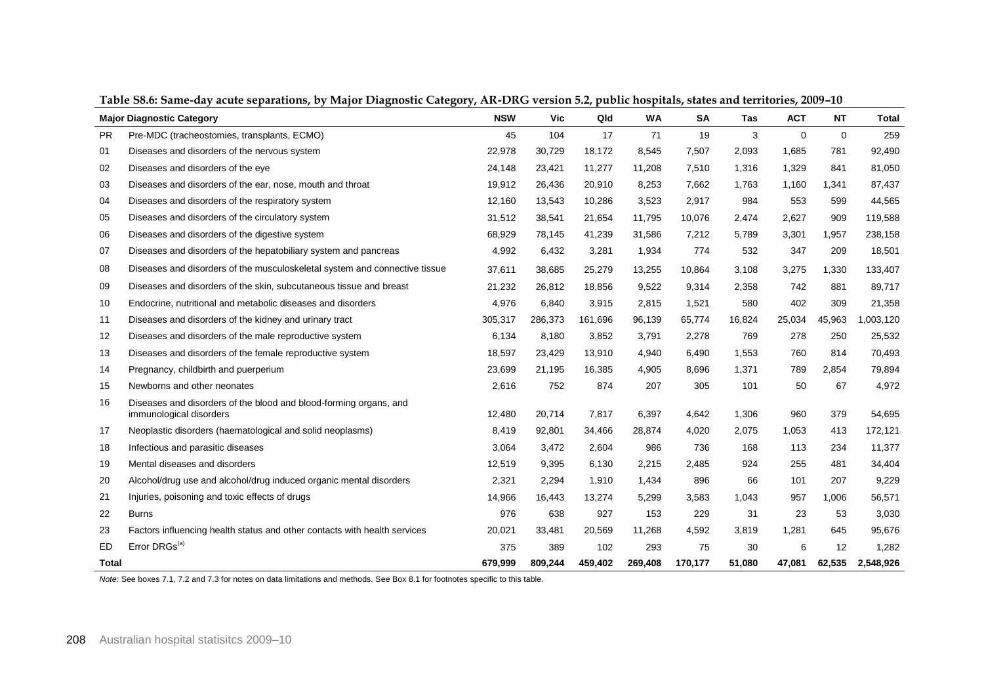|           | <b>Major Diagnostic Category</b>                                                             | <b>NSW</b> | Vic     | Qld     | WA      | <b>SA</b> | <b>Tas</b> | <b>ACT</b>  | <b>NT</b>   | Total     |
|-----------|----------------------------------------------------------------------------------------------|------------|---------|---------|---------|-----------|------------|-------------|-------------|-----------|
| <b>PR</b> | Pre-MDC (tracheostomies, transplants, ECMO)                                                  | 45         | 104     | 17      | 71      | 19        | 3          | $\mathbf 0$ | $\mathbf 0$ | 259       |
| 01        | Diseases and disorders of the nervous system                                                 | 22,978     | 30,729  | 18,172  | 8,545   | 7,507     | 2,093      | 1,685       | 781         | 92,490    |
| 02        | Diseases and disorders of the eye                                                            | 24,148     | 23,421  | 11,277  | 11,208  | 7,510     | 1,316      | 1,329       | 841         | 81,050    |
| 03        | Diseases and disorders of the ear, nose, mouth and throat                                    | 19,912     | 26,436  | 20,910  | 8,253   | 7,662     | 1,763      | 1,160       | 1,341       | 87,437    |
| 04        | Diseases and disorders of the respiratory system                                             | 12,160     | 13,543  | 10,286  | 3,523   | 2,917     | 984        | 553         | 599         | 44,565    |
| 05        | Diseases and disorders of the circulatory system                                             | 31,512     | 38,541  | 21,654  | 11,795  | 10,076    | 2,474      | 2,627       | 909         | 119,588   |
| 06        | Diseases and disorders of the digestive system                                               | 68,929     | 78,145  | 41,239  | 31,586  | 7,212     | 5,789      | 3,301       | 1,957       | 238,158   |
| 07        | Diseases and disorders of the hepatobiliary system and pancreas                              | 4,992      | 6,432   | 3,281   | 1,934   | 774       | 532        | 347         | 209         | 18,501    |
| 08        | Diseases and disorders of the musculoskeletal system and connective tissue                   | 37,611     | 38,685  | 25,279  | 13,255  | 10,864    | 3,108      | 3,275       | 1,330       | 133,407   |
| 09        | Diseases and disorders of the skin, subcutaneous tissue and breast                           | 21,232     | 26,812  | 18,856  | 9,522   | 9,314     | 2,358      | 742         | 881         | 89,717    |
| 10        | Endocrine, nutritional and metabolic diseases and disorders                                  | 4,976      | 6,840   | 3,915   | 2,815   | 1,521     | 580        | 402         | 309         | 21,358    |
| 11        | Diseases and disorders of the kidney and urinary tract                                       | 305,317    | 286,373 | 161,696 | 96,139  | 65,774    | 16,824     | 25,034      | 45,963      | 1,003,120 |
| 12        | Diseases and disorders of the male reproductive system                                       | 6,134      | 8,180   | 3,852   | 3,791   | 2,278     | 769        | 278         | 250         | 25,532    |
| 13        | Diseases and disorders of the female reproductive system                                     | 18,597     | 23,429  | 13,910  | 4,940   | 6,490     | 1,553      | 760         | 814         | 70,493    |
| 14        | Pregnancy, childbirth and puerperium                                                         | 23,699     | 21,195  | 16,385  | 4,905   | 8,696     | 1,371      | 789         | 2,854       | 79,894    |
| 15        | Newborns and other neonates                                                                  | 2,616      | 752     | 874     | 207     | 305       | 101        | 50          | 67          | 4,972     |
| 16        | Diseases and disorders of the blood and blood-forming organs, and<br>immunological disorders | 12,480     | 20,714  | 7,817   | 6,397   | 4,642     | 1,306      | 960         | 379         | 54,695    |
| 17        | Neoplastic disorders (haematological and solid neoplasms)                                    | 8,419      | 92,801  | 34,466  | 28,874  | 4,020     | 2,075      | 1,053       | 413         | 172,121   |
| 18        | Infectious and parasitic diseases                                                            | 3,064      | 3,472   | 2,604   | 986     | 736       | 168        | 113         | 234         | 11,377    |
| 19        | Mental diseases and disorders                                                                | 12,519     | 9,395   | 6,130   | 2,215   | 2,485     | 924        | 255         | 481         | 34,404    |
| 20        | Alcohol/drug use and alcohol/drug induced organic mental disorders                           | 2,321      | 2,294   | 1,910   | 1,434   | 896       | 66         | 101         | 207         | 9,229     |
| 21        | Injuries, poisoning and toxic effects of drugs                                               | 14,966     | 16,443  | 13,274  | 5,299   | 3,583     | 1,043      | 957         | 1,006       | 56,571    |
| 22        | <b>Burns</b>                                                                                 | 976        | 638     | 927     | 153     | 229       | 31         | 23          | 53          | 3,030     |
| 23        | Factors influencing health status and other contacts with health services                    | 20,021     | 33,481  | 20,569  | 11,268  | 4,592     | 3,819      | 1,281       | 645         | 95,676    |
| ED.       | Error DRGs <sup>(a)</sup>                                                                    | 375        | 389     | 102     | 293     | 75        | 30         | 6           | 12          | 1,282     |
| Total     |                                                                                              | 679,999    | 809,244 | 459,402 | 269,408 | 170,177   | 51,080     | 47,081      | 62,535      | 2,548,926 |

**Table S8.6: Same-day acute separations, by Major Diagnostic Category, AR-DRG version 5.2, public hospitals, states and territories, 2009–10**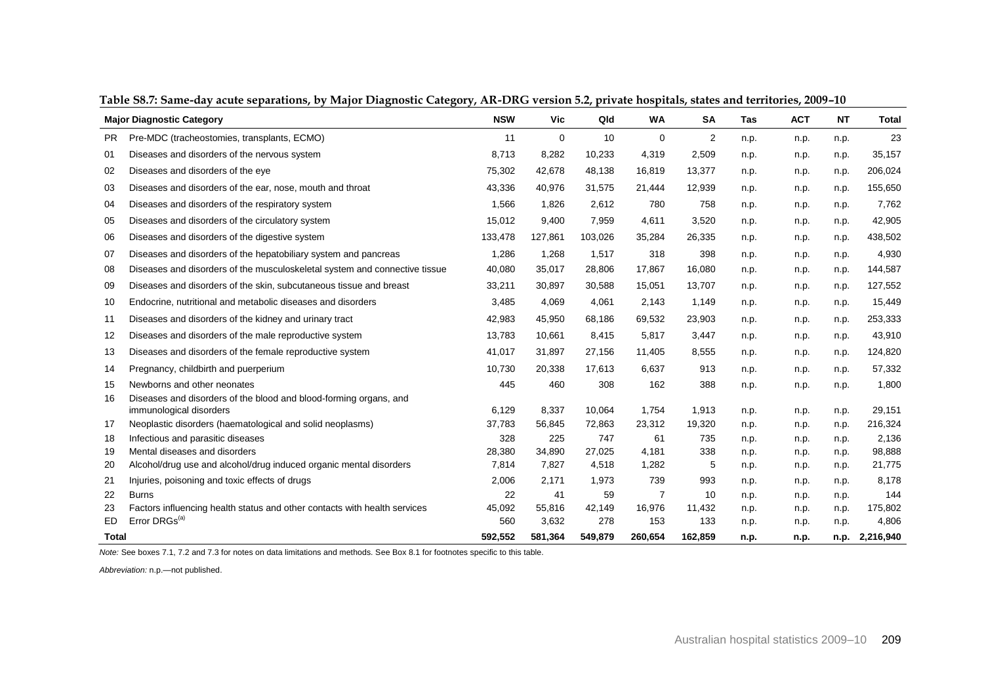|              | <b>Major Diagnostic Category</b>                                           | <b>NSW</b> | Vic         | Qld     | <b>WA</b>      | <b>SA</b>      | <b>Tas</b> | <b>ACT</b> | <b>NT</b> | <b>Total</b> |
|--------------|----------------------------------------------------------------------------|------------|-------------|---------|----------------|----------------|------------|------------|-----------|--------------|
| <b>PR</b>    | Pre-MDC (tracheostomies, transplants, ECMO)                                | 11         | $\mathbf 0$ | 10      | $\mathbf 0$    | $\overline{2}$ | n.p.       | n.p.       | n.p.      | 23           |
| 01           | Diseases and disorders of the nervous system                               | 8,713      | 8,282       | 10,233  | 4,319          | 2,509          | n.p.       | n.p.       | n.p.      | 35,157       |
| 02           | Diseases and disorders of the eye                                          | 75,302     | 42,678      | 48,138  | 16,819         | 13,377         | n.p.       | n.p.       | n.p.      | 206,024      |
| 03           | Diseases and disorders of the ear, nose, mouth and throat                  | 43,336     | 40.976      | 31,575  | 21,444         | 12,939         | n.p.       | n.p.       | n.p.      | 155,650      |
| 04           | Diseases and disorders of the respiratory system                           | 1,566      | 1,826       | 2,612   | 780            | 758            | n.p.       | n.p.       | n.p.      | 7,762        |
| 05           | Diseases and disorders of the circulatory system                           | 15,012     | 9,400       | 7,959   | 4,611          | 3,520          | n.p.       | n.p.       | n.p.      | 42,905       |
| 06           | Diseases and disorders of the digestive system                             | 133,478    | 127,861     | 103,026 | 35,284         | 26,335         | n.p.       | n.p.       | n.p.      | 438,502      |
| 07           | Diseases and disorders of the hepatobiliary system and pancreas            | 1,286      | 1,268       | 1,517   | 318            | 398            | n.p.       | n.p.       | n.p.      | 4,930        |
| 08           | Diseases and disorders of the musculoskeletal system and connective tissue | 40,080     | 35,017      | 28,806  | 17,867         | 16,080         | n.p.       | n.p.       | n.p.      | 144,587      |
| 09           | Diseases and disorders of the skin, subcutaneous tissue and breast         | 33,211     | 30,897      | 30,588  | 15,051         | 13,707         | n.p.       | n.p.       | n.p.      | 127,552      |
| 10           | Endocrine, nutritional and metabolic diseases and disorders                | 3,485      | 4,069       | 4,061   | 2,143          | 1,149          | n.p.       | n.p.       | n.p.      | 15,449       |
| 11           | Diseases and disorders of the kidney and urinary tract                     | 42,983     | 45,950      | 68,186  | 69,532         | 23,903         | n.p.       | n.p.       | n.p.      | 253,333      |
| 12           | Diseases and disorders of the male reproductive system                     | 13,783     | 10,661      | 8,415   | 5,817          | 3,447          | n.p.       | n.p.       | n.p.      | 43,910       |
| 13           | Diseases and disorders of the female reproductive system                   | 41,017     | 31,897      | 27,156  | 11,405         | 8,555          | n.p.       | n.p.       | n.p.      | 124,820      |
| 14           | Pregnancy, childbirth and puerperium                                       | 10,730     | 20,338      | 17,613  | 6,637          | 913            | n.p.       | n.p.       | n.p.      | 57,332       |
| 15           | Newborns and other neonates                                                | 445        | 460         | 308     | 162            | 388            | n.p.       | n.p.       | n.p.      | 1,800        |
| 16           | Diseases and disorders of the blood and blood-forming organs, and          |            |             |         |                |                |            |            |           |              |
|              | immunological disorders                                                    | 6,129      | 8,337       | 10,064  | 1,754          | 1,913          | n.p.       | n.p.       | n.p.      | 29,151       |
| 17           | Neoplastic disorders (haematological and solid neoplasms)                  | 37,783     | 56,845      | 72,863  | 23,312         | 19,320         | n.p.       | n.p.       | n.p.      | 216,324      |
| 18           | Infectious and parasitic diseases                                          | 328        | 225         | 747     | 61             | 735            | n.p.       | n.p.       | n.p.      | 2,136        |
| 19           | Mental diseases and disorders                                              | 28,380     | 34,890      | 27,025  | 4,181          | 338            | n.p.       | n.p.       | n.p.      | 98,888       |
| 20           | Alcohol/drug use and alcohol/drug induced organic mental disorders         | 7,814      | 7,827       | 4,518   | 1,282          | 5              | n.p.       | n.p.       | n.p.      | 21,775       |
| 21           | Injuries, poisoning and toxic effects of drugs                             | 2,006      | 2,171       | 1,973   | 739            | 993            | n.p.       | n.p.       | n.p.      | 8,178        |
| 22           | <b>Burns</b>                                                               | 22         | 41          | 59      | $\overline{7}$ | 10             | n.p.       | n.p.       | n.p.      | 144          |
| 23           | Factors influencing health status and other contacts with health services  | 45,092     | 55,816      | 42,149  | 16,976         | 11,432         | n.p.       | n.p.       | n.p.      | 175,802      |
| ED.          | Error DRGs <sup>(a)</sup>                                                  | 560        | 3,632       | 278     | 153            | 133            | n.p.       | n.p.       | n.p.      | 4,806        |
| <b>Total</b> |                                                                            | 592.552    | 581.364     | 549.879 | 260.654        | 162.859        | n.p.       | n.p.       | n.p.      | 2,216,940    |

**Table S8.7: Same-day acute separations, by Major Diagnostic Category, AR-DRG version 5.2, private hospitals, states and territories, 2009–10**

*Abbreviation:* n.p.—not published.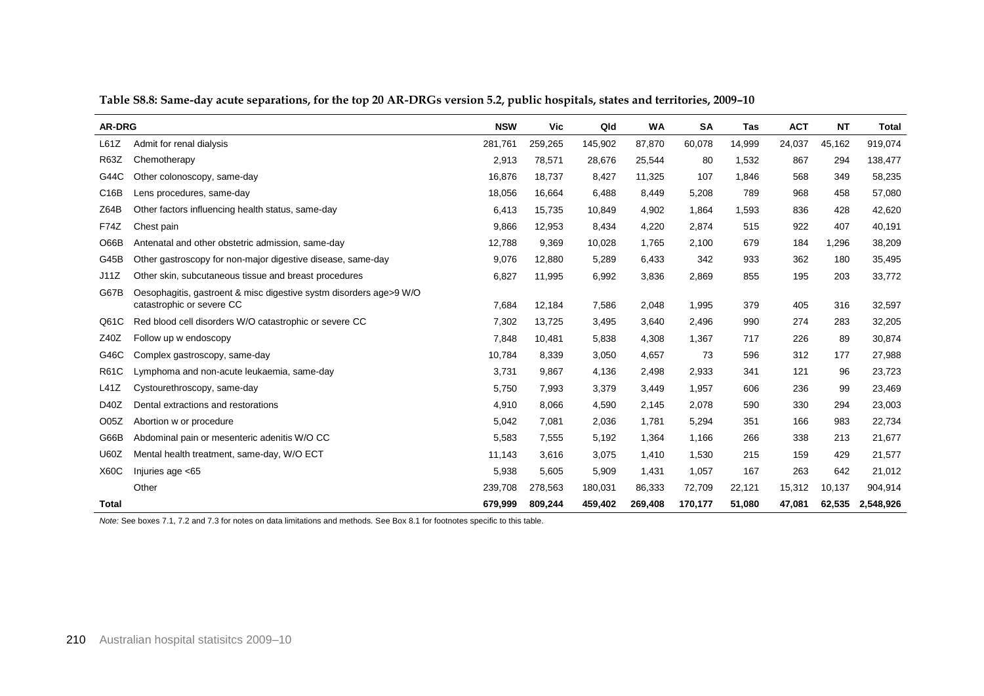| <b>AR-DRG</b>    |                                                                                                 | <b>NSW</b> | Vic     | Qld     | <b>WA</b> | SA      | <b>Tas</b> | <b>ACT</b> | <b>NT</b> | <b>Total</b> |
|------------------|-------------------------------------------------------------------------------------------------|------------|---------|---------|-----------|---------|------------|------------|-----------|--------------|
| L61Z             | Admit for renal dialysis                                                                        | 281,761    | 259,265 | 145,902 | 87,870    | 60,078  | 14,999     | 24,037     | 45,162    | 919,074      |
| <b>R63Z</b>      | Chemotherapy                                                                                    | 2,913      | 78,571  | 28,676  | 25,544    | 80      | 1,532      | 867        | 294       | 138,477      |
| G44C             | Other colonoscopy, same-day                                                                     | 16,876     | 18,737  | 8,427   | 11,325    | 107     | 1,846      | 568        | 349       | 58,235       |
| C16B             | Lens procedures, same-day                                                                       | 18,056     | 16,664  | 6,488   | 8,449     | 5,208   | 789        | 968        | 458       | 57,080       |
| Z64B             | Other factors influencing health status, same-day                                               | 6,413      | 15,735  | 10,849  | 4,902     | 1,864   | 1,593      | 836        | 428       | 42,620       |
| <b>F74Z</b>      | Chest pain                                                                                      | 9,866      | 12,953  | 8,434   | 4,220     | 2,874   | 515        | 922        | 407       | 40,191       |
| O66B             | Antenatal and other obstetric admission, same-day                                               | 12,788     | 9,369   | 10,028  | 1,765     | 2,100   | 679        | 184        | 1,296     | 38,209       |
| G45B             | Other gastroscopy for non-major digestive disease, same-day                                     | 9,076      | 12,880  | 5,289   | 6,433     | 342     | 933        | 362        | 180       | 35,495       |
| J11Z             | Other skin, subcutaneous tissue and breast procedures                                           | 6,827      | 11,995  | 6,992   | 3,836     | 2,869   | 855        | 195        | 203       | 33,772       |
| G67B             | Oesophagitis, gastroent & misc digestive systm disorders age>9 W/O<br>catastrophic or severe CC | 7,684      | 12,184  | 7,586   | 2,048     | 1,995   | 379        | 405        | 316       | 32,597       |
| Q61C             | Red blood cell disorders W/O catastrophic or severe CC                                          | 7,302      | 13,725  | 3,495   | 3,640     | 2,496   | 990        | 274        | 283       | 32,205       |
| Z40Z             | Follow up w endoscopy                                                                           | 7,848      | 10,481  | 5,838   | 4,308     | 1,367   | 717        | 226        | 89        | 30,874       |
| G46C             | Complex gastroscopy, same-day                                                                   | 10,784     | 8,339   | 3,050   | 4,657     | 73      | 596        | 312        | 177       | 27,988       |
| <b>R61C</b>      | Lymphoma and non-acute leukaemia, same-day                                                      | 3,731      | 9,867   | 4,136   | 2,498     | 2,933   | 341        | 121        | 96        | 23,723       |
| L41Z             | Cystourethroscopy, same-day                                                                     | 5,750      | 7,993   | 3,379   | 3,449     | 1,957   | 606        | 236        | 99        | 23,469       |
| D40Z             | Dental extractions and restorations                                                             | 4,910      | 8,066   | 4,590   | 2,145     | 2,078   | 590        | 330        | 294       | 23,003       |
| O <sub>05Z</sub> | Abortion w or procedure                                                                         | 5,042      | 7,081   | 2,036   | 1,781     | 5,294   | 351        | 166        | 983       | 22,734       |
| G66B             | Abdominal pain or mesenteric adenitis W/O CC                                                    | 5,583      | 7,555   | 5,192   | 1,364     | 1,166   | 266        | 338        | 213       | 21,677       |
| <b>U60Z</b>      | Mental health treatment, same-day, W/O ECT                                                      | 11,143     | 3,616   | 3,075   | 1,410     | 1,530   | 215        | 159        | 429       | 21,577       |
| <b>X60C</b>      | Injuries age <65                                                                                | 5,938      | 5,605   | 5,909   | 1,431     | 1,057   | 167        | 263        | 642       | 21,012       |
|                  | Other                                                                                           | 239,708    | 278,563 | 180,031 | 86,333    | 72,709  | 22,121     | 15,312     | 10,137    | 904,914      |
| <b>Total</b>     |                                                                                                 | 679.999    | 809.244 | 459,402 | 269,408   | 170.177 | 51.080     | 47,081     | 62.535    | 2,548,926    |

**Table S8.8: Same-day acute separations, for the top 20 AR-DRGs version 5.2, public hospitals, states and territories, 2009–10**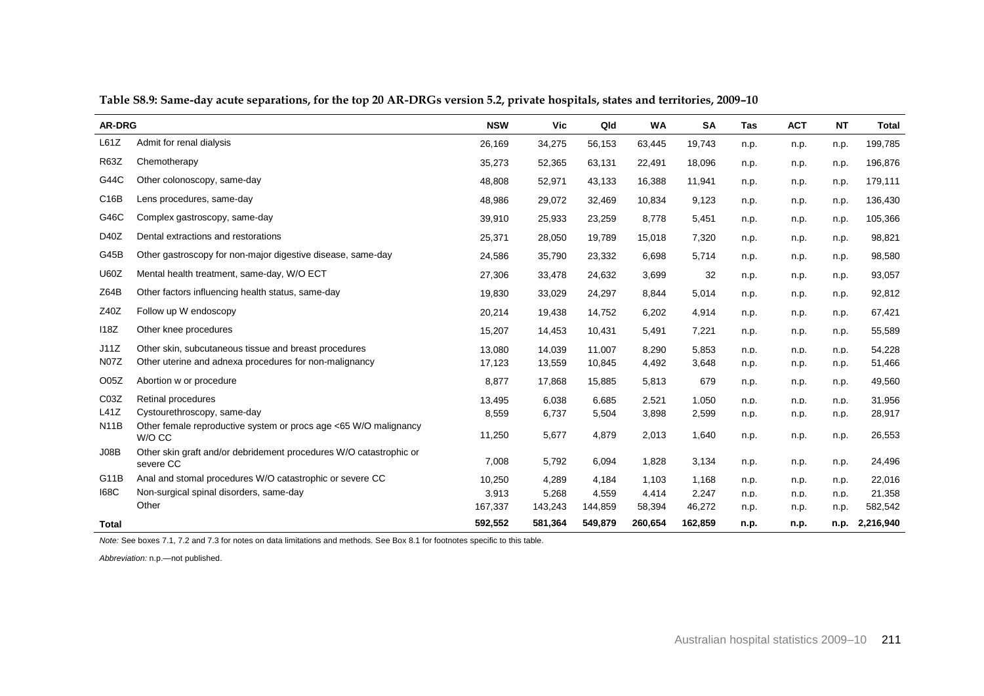| <b>AR-DRG</b>    |                                                                                 | <b>NSW</b> | Vic     | Qld     | <b>WA</b> | <b>SA</b> | <b>Tas</b> | <b>ACT</b> | <b>NT</b> | <b>Total</b> |
|------------------|---------------------------------------------------------------------------------|------------|---------|---------|-----------|-----------|------------|------------|-----------|--------------|
| L61Z             | Admit for renal dialysis                                                        | 26,169     | 34,275  | 56,153  | 63,445    | 19,743    | n.p.       | n.p.       | n.p.      | 199,785      |
| <b>R63Z</b>      | Chemotherapy                                                                    | 35,273     | 52,365  | 63,131  | 22,491    | 18,096    | n.p.       | n.p.       | n.p.      | 196,876      |
| G44C             | Other colonoscopy, same-day                                                     | 48,808     | 52,971  | 43,133  | 16,388    | 11,941    | n.p.       | n.p.       | n.p.      | 179,111      |
| C16B             | Lens procedures, same-day                                                       | 48,986     | 29,072  | 32,469  | 10,834    | 9,123     | n.p.       | n.p.       | n.p.      | 136,430      |
| G46C             | Complex gastroscopy, same-day                                                   | 39,910     | 25,933  | 23,259  | 8,778     | 5,451     | n.p.       | n.p.       | n.p.      | 105,366      |
| D40Z             | Dental extractions and restorations                                             | 25,371     | 28,050  | 19,789  | 15,018    | 7,320     | n.p.       | n.p.       | n.p.      | 98,821       |
| G45B             | Other gastroscopy for non-major digestive disease, same-day                     | 24,586     | 35,790  | 23,332  | 6,698     | 5,714     | n.p.       | n.p.       | n.p.      | 98,580       |
| <b>U60Z</b>      | Mental health treatment, same-day, W/O ECT                                      | 27,306     | 33,478  | 24,632  | 3,699     | 32        | n.p.       | n.p.       | n.p.      | 93,057       |
| Z64B             | Other factors influencing health status, same-day                               | 19,830     | 33,029  | 24,297  | 8,844     | 5,014     | n.p.       | n.p.       | n.p.      | 92,812       |
| Z40Z             | Follow up W endoscopy                                                           | 20,214     | 19,438  | 14,752  | 6,202     | 4,914     | n.p.       | n.p.       | n.p.      | 67,421       |
| 118Z             | Other knee procedures                                                           | 15,207     | 14,453  | 10,431  | 5,491     | 7,221     | n.p.       | n.p.       | n.p.      | 55,589       |
| J11Z             | Other skin, subcutaneous tissue and breast procedures                           | 13.080     | 14.039  | 11.007  | 8,290     | 5,853     | n.p.       | n.p.       | n.p.      | 54,228       |
| <b>N07Z</b>      | Other uterine and adnexa procedures for non-malignancy                          | 17,123     | 13,559  | 10,845  | 4,492     | 3,648     | n.p.       | n.p.       | n.p.      | 51,466       |
| O <sub>05Z</sub> | Abortion w or procedure                                                         | 8,877      | 17,868  | 15,885  | 5,813     | 679       | n.p.       | n.p.       | n.p.      | 49,560       |
| CO3Z             | Retinal procedures                                                              | 13,495     | 6,038   | 6,685   | 2,521     | 1,050     | n.p.       | n.p.       | n.p.      | 31.956       |
| L41Z             | Cystourethroscopy, same-day                                                     | 8,559      | 6,737   | 5,504   | 3,898     | 2,599     | n.p.       | n.p.       | n.p.      | 28,917       |
| <b>N11B</b>      | Other female reproductive system or procs age <65 W/O malignancy<br>W/O CC      | 11,250     | 5,677   | 4,879   | 2,013     | 1,640     | n.p.       | n.p.       | n.p.      | 26,553       |
| J08B             | Other skin graft and/or debridement procedures W/O catastrophic or<br>severe CC | 7,008      | 5,792   | 6,094   | 1,828     | 3,134     | n.p.       | n.p.       | n.p.      | 24,496       |
| G11B             | Anal and stomal procedures W/O catastrophic or severe CC                        | 10,250     | 4.289   | 4.184   | 1.103     | 1.168     | n.p.       | n.p.       | n.p.      | 22,016       |
| <b>168C</b>      | Non-surgical spinal disorders, same-day                                         | 3.913      | 5.268   | 4.559   | 4.414     | 2.247     | n.p.       | n.p.       | n.p.      | 21.358       |
|                  | Other                                                                           | 167,337    | 143,243 | 144,859 | 58,394    | 46,272    | n.p.       | n.p.       | n.p.      | 582,542      |
| Total            |                                                                                 | 592,552    | 581,364 | 549,879 | 260,654   | 162,859   | n.p.       | n.p.       | n.p.      | 2,216,940    |

**Table S8.9: Same-day acute separations, for the top 20 AR-DRGs version 5.2, private hospitals, states and territories, 2009–10**

*Abbreviation:* n.p.—not published.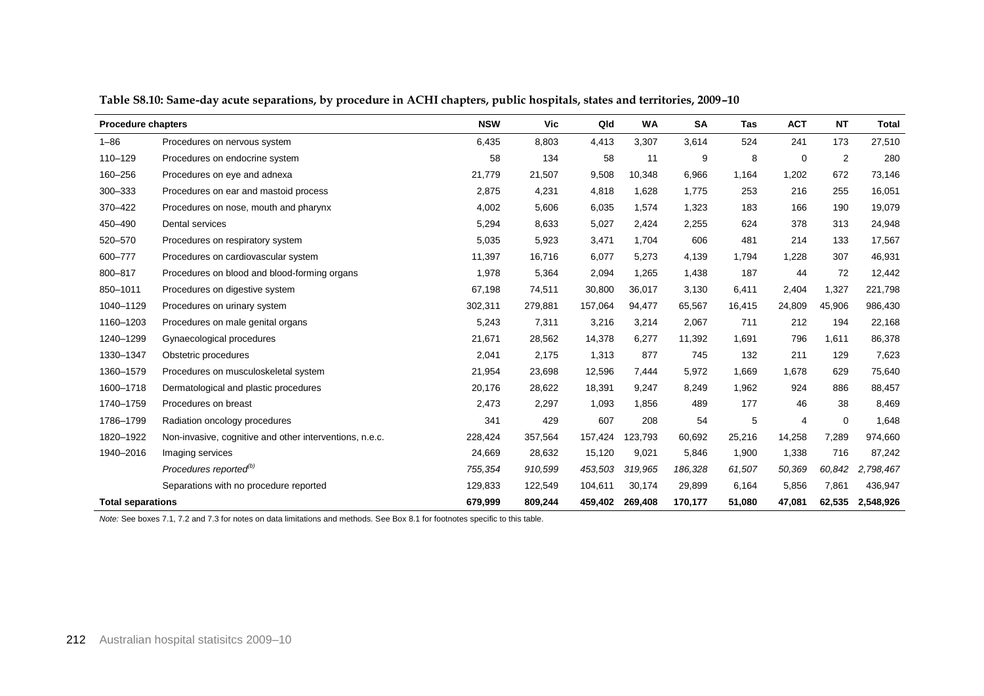| <b>Procedure chapters</b> |                                                         | <b>NSW</b> | <b>Vic</b> | Qld     | <b>WA</b> | <b>SA</b> | <b>Tas</b> | <b>ACT</b>  | <b>NT</b>   | Total     |
|---------------------------|---------------------------------------------------------|------------|------------|---------|-----------|-----------|------------|-------------|-------------|-----------|
| $1 - 86$                  | Procedures on nervous system                            | 6,435      | 8,803      | 4,413   | 3.307     | 3,614     | 524        | 241         | 173         | 27,510    |
| 110-129                   | Procedures on endocrine system                          | 58         | 134        | 58      | 11        | 9         | 8          | $\mathbf 0$ | 2           | 280       |
| 160-256                   | Procedures on eye and adnexa                            | 21,779     | 21,507     | 9,508   | 10,348    | 6,966     | 1,164      | 1,202       | 672         | 73,146    |
| 300-333                   | Procedures on ear and mastoid process                   | 2,875      | 4,231      | 4,818   | 1,628     | 1,775     | 253        | 216         | 255         | 16,051    |
| 370-422                   | Procedures on nose, mouth and pharynx                   | 4,002      | 5,606      | 6,035   | 1,574     | 1,323     | 183        | 166         | 190         | 19,079    |
| 450-490                   | Dental services                                         | 5,294      | 8,633      | 5,027   | 2,424     | 2,255     | 624        | 378         | 313         | 24,948    |
| 520-570                   | Procedures on respiratory system                        | 5,035      | 5,923      | 3,471   | 1,704     | 606       | 481        | 214         | 133         | 17,567    |
| 600-777                   | Procedures on cardiovascular system                     | 11,397     | 16,716     | 6,077   | 5,273     | 4,139     | 1,794      | 1,228       | 307         | 46,931    |
| 800-817                   | Procedures on blood and blood-forming organs            | 1,978      | 5,364      | 2,094   | 1,265     | 1,438     | 187        | 44          | 72          | 12,442    |
| 850-1011                  | Procedures on digestive system                          | 67,198     | 74,511     | 30,800  | 36,017    | 3,130     | 6,411      | 2,404       | 1,327       | 221,798   |
| 1040-1129                 | Procedures on urinary system                            | 302,311    | 279,881    | 157,064 | 94,477    | 65,567    | 16,415     | 24,809      | 45,906      | 986,430   |
| 1160-1203                 | Procedures on male genital organs                       | 5,243      | 7,311      | 3,216   | 3,214     | 2,067     | 711        | 212         | 194         | 22,168    |
| 1240-1299                 | Gynaecological procedures                               | 21,671     | 28,562     | 14,378  | 6,277     | 11,392    | 1,691      | 796         | 1,611       | 86,378    |
| 1330-1347                 | Obstetric procedures                                    | 2,041      | 2,175      | 1,313   | 877       | 745       | 132        | 211         | 129         | 7,623     |
| 1360-1579                 | Procedures on musculoskeletal system                    | 21,954     | 23,698     | 12,596  | 7,444     | 5,972     | 1,669      | 1,678       | 629         | 75,640    |
| 1600-1718                 | Dermatological and plastic procedures                   | 20,176     | 28,622     | 18,391  | 9,247     | 8,249     | 1,962      | 924         | 886         | 88,457    |
| 1740-1759                 | Procedures on breast                                    | 2,473      | 2,297      | 1,093   | 1,856     | 489       | 177        | 46          | 38          | 8,469     |
| 1786-1799                 | Radiation oncology procedures                           | 341        | 429        | 607     | 208       | 54        | 5          | 4           | $\mathbf 0$ | 1,648     |
| 1820-1922                 | Non-invasive, cognitive and other interventions, n.e.c. | 228,424    | 357,564    | 157,424 | 123,793   | 60,692    | 25,216     | 14,258      | 7,289       | 974,660   |
| 1940-2016                 | Imaging services                                        | 24,669     | 28,632     | 15,120  | 9,021     | 5,846     | 1,900      | 1,338       | 716         | 87,242    |
|                           | Procedures reported <sup>(b)</sup>                      | 755,354    | 910,599    | 453,503 | 319,965   | 186,328   | 61,507     | 50,369      | 60,842      | 2,798,467 |
|                           | Separations with no procedure reported                  | 129,833    | 122,549    | 104,611 | 30,174    | 29,899    | 6,164      | 5,856       | 7,861       | 436,947   |
| <b>Total separations</b>  |                                                         | 679,999    | 809,244    | 459,402 | 269,408   | 170,177   | 51,080     | 47,081      | 62,535      | 2,548,926 |

**Table S8.10: Same-day acute separations, by procedure in ACHI chapters, public hospitals, states and territories, 2009–10**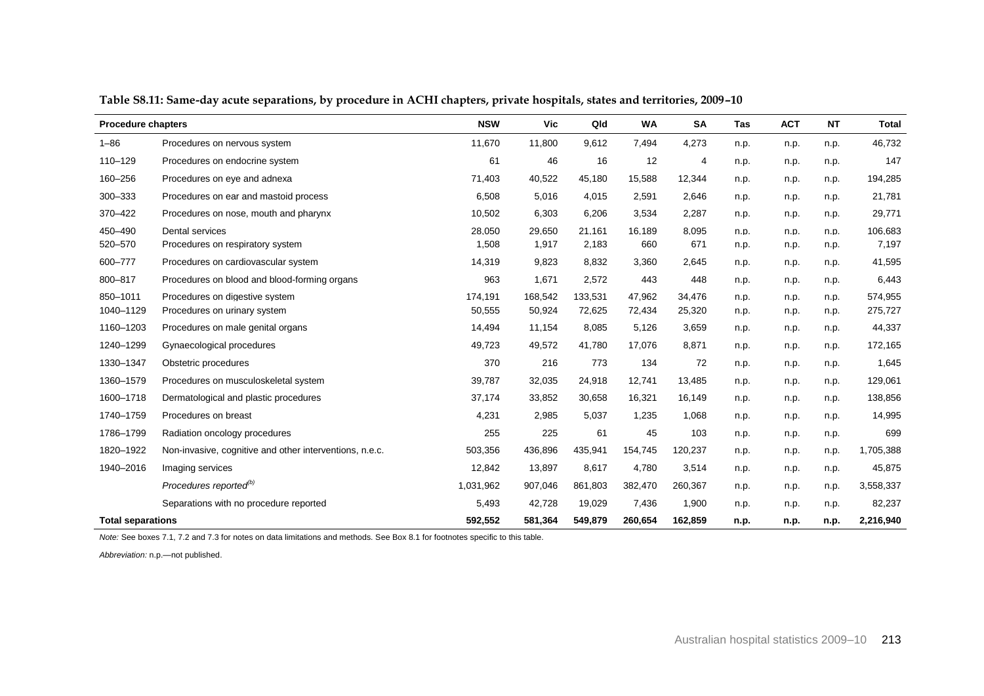| <b>Procedure chapters</b> |                                                         | <b>NSW</b> | <b>Vic</b> | Qld     | <b>WA</b> | SA      | <b>Tas</b> | <b>ACT</b> | <b>NT</b> | <b>Total</b> |
|---------------------------|---------------------------------------------------------|------------|------------|---------|-----------|---------|------------|------------|-----------|--------------|
| $1 - 86$                  | Procedures on nervous system                            | 11,670     | 11,800     | 9,612   | 7,494     | 4,273   | n.p.       | n.p.       | n.p.      | 46,732       |
| 110-129                   | Procedures on endocrine system                          | 61         | 46         | 16      | 12        | 4       | n.p.       | n.p.       | n.p.      | 147          |
| 160-256                   | Procedures on eye and adnexa                            | 71,403     | 40,522     | 45,180  | 15,588    | 12,344  | n.p.       | n.p.       | n.p.      | 194,285      |
| 300-333                   | Procedures on ear and mastoid process                   | 6,508      | 5,016      | 4,015   | 2,591     | 2,646   | n.p.       | n.p.       | n.p.      | 21,781       |
| 370-422                   | Procedures on nose, mouth and pharynx                   | 10,502     | 6,303      | 6,206   | 3,534     | 2,287   | n.p.       | n.p.       | n.p.      | 29,771       |
| 450-490                   | Dental services                                         | 28.050     | 29,650     | 21.161  | 16.189    | 8,095   | n.p.       | n.p.       | n.p.      | 106.683      |
| 520-570                   | Procedures on respiratory system                        | 1,508      | 1,917      | 2,183   | 660       | 671     | n.p.       | n.p.       | n.p.      | 7,197        |
| 600-777                   | Procedures on cardiovascular system                     | 14,319     | 9,823      | 8,832   | 3,360     | 2,645   | n.p.       | n.p.       | n.p.      | 41,595       |
| 800-817                   | Procedures on blood and blood-forming organs            | 963        | 1,671      | 2,572   | 443       | 448     | n.p.       | n.p.       | n.p.      | 6,443        |
| 850-1011                  | Procedures on digestive system                          | 174,191    | 168,542    | 133,531 | 47,962    | 34,476  | n.p.       | n.p.       | n.p.      | 574,955      |
| 1040-1129                 | Procedures on urinary system                            | 50,555     | 50,924     | 72,625  | 72,434    | 25,320  | n.p.       | n.p.       | n.p.      | 275,727      |
| 1160-1203                 | Procedures on male genital organs                       | 14,494     | 11,154     | 8,085   | 5,126     | 3,659   | n.p.       | n.p.       | n.p.      | 44,337       |
| 1240-1299                 | Gynaecological procedures                               | 49,723     | 49,572     | 41,780  | 17,076    | 8,871   | n.p.       | n.p.       | n.p.      | 172,165      |
| 1330-1347                 | Obstetric procedures                                    | 370        | 216        | 773     | 134       | 72      | n.p.       | n.p.       | n.p.      | 1,645        |
| 1360-1579                 | Procedures on musculoskeletal system                    | 39,787     | 32,035     | 24,918  | 12,741    | 13,485  | n.p.       | n.p.       | n.p.      | 129,061      |
| 1600-1718                 | Dermatological and plastic procedures                   | 37,174     | 33,852     | 30,658  | 16,321    | 16,149  | n.p.       | n.p.       | n.p.      | 138,856      |
| 1740-1759                 | Procedures on breast                                    | 4,231      | 2,985      | 5,037   | 1,235     | 1,068   | n.p.       | n.p.       | n.p.      | 14,995       |
| 1786-1799                 | Radiation oncology procedures                           | 255        | 225        | 61      | 45        | 103     | n.p.       | n.p.       | n.p.      | 699          |
| 1820-1922                 | Non-invasive, cognitive and other interventions, n.e.c. | 503,356    | 436,896    | 435,941 | 154,745   | 120,237 | n.p.       | n.p.       | n.p.      | 1,705,388    |
| 1940-2016                 | Imaging services                                        | 12,842     | 13,897     | 8,617   | 4,780     | 3,514   | n.p.       | n.p.       | n.p.      | 45,875       |
|                           | Procedures reported <sup>(b)</sup>                      | 1,031,962  | 907,046    | 861,803 | 382,470   | 260,367 | n.p.       | n.p.       | n.p.      | 3,558,337    |
|                           | Separations with no procedure reported                  | 5,493      | 42,728     | 19,029  | 7,436     | 1,900   | n.p.       | n.p.       | n.p.      | 82,237       |
| <b>Total separations</b>  |                                                         | 592,552    | 581,364    | 549,879 | 260,654   | 162,859 | n.p.       | n.p.       | n.p.      | 2,216,940    |

**Table S8.11: Same-day acute separations, by procedure in ACHI chapters, private hospitals, states and territories, 2009–10**

*Abbreviation:* n.p.—not published.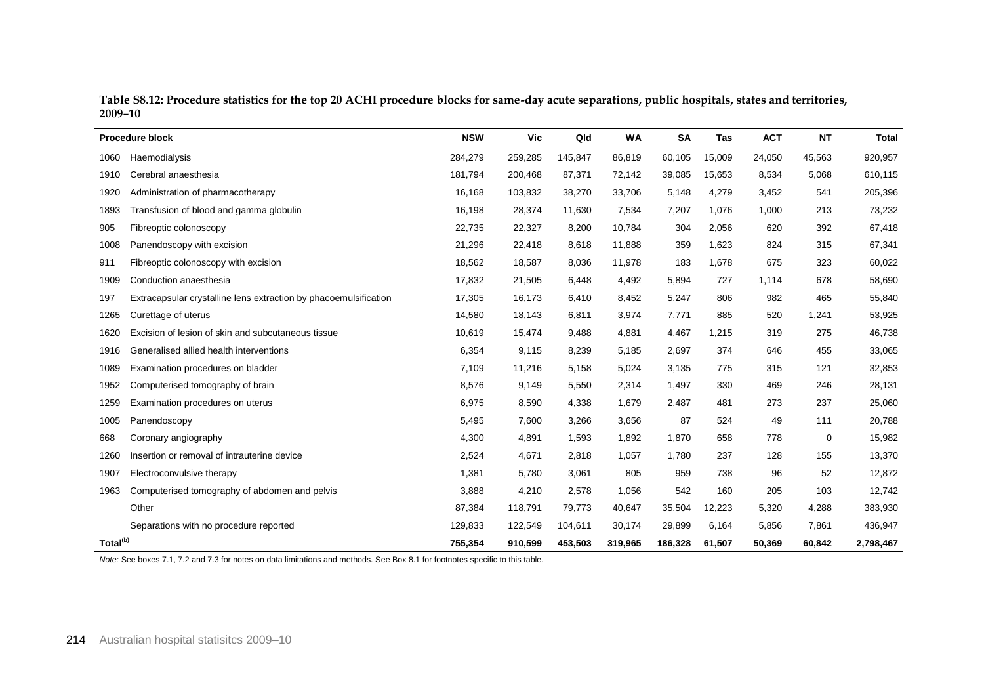| Table S8.12: Procedure statistics for the top 20 ACHI procedure blocks for same-day acute separations, public hospitals, states and territories, |  |
|--------------------------------------------------------------------------------------------------------------------------------------------------|--|
| 2009-10                                                                                                                                          |  |

|                      | <b>Procedure block</b>                                           | <b>NSW</b> | Vic     | Qld     | <b>WA</b> | <b>SA</b> | Tas    | <b>ACT</b> | <b>NT</b> | <b>Total</b> |
|----------------------|------------------------------------------------------------------|------------|---------|---------|-----------|-----------|--------|------------|-----------|--------------|
| 1060                 | Haemodialysis                                                    | 284,279    | 259,285 | 145,847 | 86,819    | 60,105    | 15,009 | 24,050     | 45,563    | 920,957      |
| 1910                 | Cerebral anaesthesia                                             | 181,794    | 200,468 | 87,371  | 72,142    | 39,085    | 15,653 | 8,534      | 5,068     | 610,115      |
| 1920                 | Administration of pharmacotherapy                                | 16,168     | 103,832 | 38,270  | 33,706    | 5,148     | 4,279  | 3,452      | 541       | 205,396      |
| 1893                 | Transfusion of blood and gamma globulin                          | 16,198     | 28,374  | 11,630  | 7,534     | 7,207     | 1,076  | 1,000      | 213       | 73,232       |
| 905                  | Fibreoptic colonoscopy                                           | 22,735     | 22,327  | 8,200   | 10,784    | 304       | 2,056  | 620        | 392       | 67,418       |
| 1008                 | Panendoscopy with excision                                       | 21,296     | 22,418  | 8,618   | 11,888    | 359       | 1,623  | 824        | 315       | 67,341       |
| 911                  | Fibreoptic colonoscopy with excision                             | 18,562     | 18,587  | 8,036   | 11,978    | 183       | 1,678  | 675        | 323       | 60,022       |
| 1909                 | Conduction anaesthesia                                           | 17,832     | 21,505  | 6,448   | 4,492     | 5,894     | 727    | 1,114      | 678       | 58,690       |
| 197                  | Extracapsular crystalline lens extraction by phacoemulsification | 17,305     | 16,173  | 6,410   | 8,452     | 5,247     | 806    | 982        | 465       | 55,840       |
| 1265                 | Curettage of uterus                                              | 14,580     | 18,143  | 6,811   | 3,974     | 7,771     | 885    | 520        | 1,241     | 53,925       |
| 1620                 | Excision of lesion of skin and subcutaneous tissue               | 10,619     | 15,474  | 9,488   | 4,881     | 4,467     | 1,215  | 319        | 275       | 46,738       |
| 1916                 | Generalised allied health interventions                          | 6,354      | 9,115   | 8,239   | 5,185     | 2,697     | 374    | 646        | 455       | 33,065       |
| 1089                 | Examination procedures on bladder                                | 7,109      | 11,216  | 5,158   | 5,024     | 3,135     | 775    | 315        | 121       | 32,853       |
| 1952                 | Computerised tomography of brain                                 | 8,576      | 9,149   | 5,550   | 2,314     | 1,497     | 330    | 469        | 246       | 28,131       |
| 1259                 | Examination procedures on uterus                                 | 6,975      | 8,590   | 4,338   | 1,679     | 2,487     | 481    | 273        | 237       | 25,060       |
| 1005                 | Panendoscopy                                                     | 5,495      | 7,600   | 3,266   | 3,656     | 87        | 524    | 49         | 111       | 20,788       |
| 668                  | Coronary angiography                                             | 4,300      | 4,891   | 1,593   | 1,892     | 1,870     | 658    | 778        | 0         | 15,982       |
| 1260                 | Insertion or removal of intrauterine device                      | 2,524      | 4,671   | 2,818   | 1,057     | 1,780     | 237    | 128        | 155       | 13,370       |
| 1907                 | Electroconvulsive therapy                                        | 1,381      | 5,780   | 3,061   | 805       | 959       | 738    | 96         | 52        | 12,872       |
| 1963                 | Computerised tomography of abdomen and pelvis                    | 3,888      | 4,210   | 2,578   | 1,056     | 542       | 160    | 205        | 103       | 12,742       |
|                      | Other                                                            | 87,384     | 118,791 | 79,773  | 40,647    | 35,504    | 12,223 | 5,320      | 4,288     | 383,930      |
|                      | Separations with no procedure reported                           | 129,833    | 122,549 | 104,611 | 30,174    | 29,899    | 6,164  | 5,856      | 7,861     | 436,947      |
| Total <sup>(b)</sup> |                                                                  | 755,354    | 910,599 | 453,503 | 319,965   | 186,328   | 61,507 | 50,369     | 60,842    | 2,798,467    |